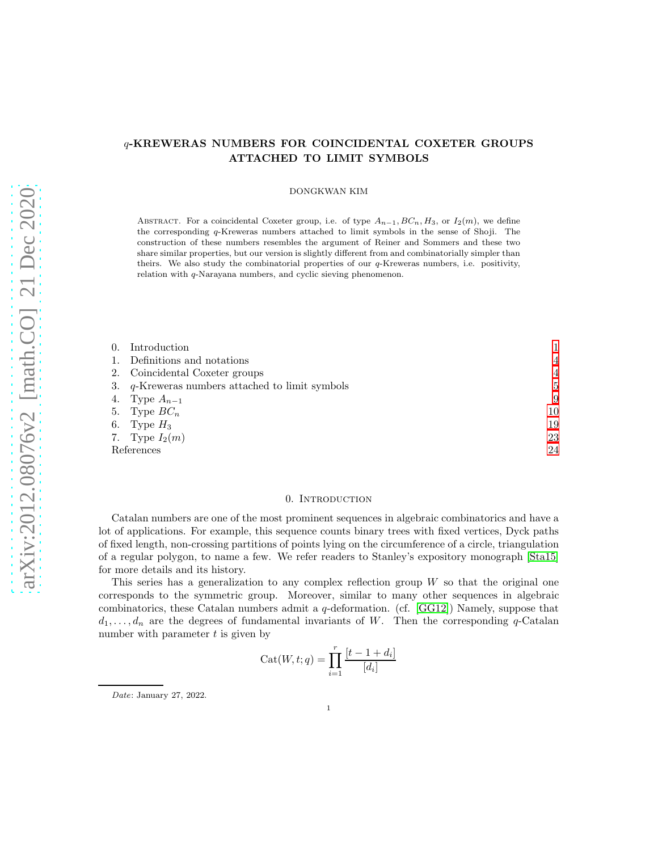# q-KREWERAS NUMBERS FOR COINCIDENTAL COXETER GROUPS ATTACHED TO LIMIT SYMBOLS

#### DONGKWAN KIM

ABSTRACT. For a coincidental Coxeter group, i.e. of type  $A_{n-1}, BC_n, H_3$ , or  $I_2(m)$ , we define the corresponding q-Kreweras numbers attached to limit symbols in the sense of Shoji. The construction of these numbers resembles the argument of Reiner and Sommers and these two share similar properties, but our version is slightly different from and combinatorially simpler than theirs. We also study the combinatorial properties of our  $q$ -Kreweras numbers, i.e. positivity, relation with q-Narayana numbers, and cyclic sieving phenomenon.

| 0. Introduction                                    |                |
|----------------------------------------------------|----------------|
| 1. Definitions and notations                       | $\overline{4}$ |
| 2. Coincidental Coxeter groups                     | $\overline{4}$ |
| 3. $q$ -Kreweras numbers attached to limit symbols | $5^{\circ}$    |
| 4. Type $A_{n-1}$                                  | 9              |
| 5. Type $BC_n$                                     | 10             |
| 6. Type $H_3$                                      | 19             |
| 7. Type $I_2(m)$                                   | 23             |
| References                                         |                |

## 0. INTRODUCTION

<span id="page-0-0"></span>Catalan numbers are one of the most prominent sequences in algebraic combinatorics and have a lot of applications. For example, this sequence counts binary trees with fixed vertices, Dyck paths of fixed length, non-crossing partitions of points lying on the circumference of a circle, triangulation of a regular polygon, to name a few. We refer readers to Stanley's expository monograph [\[Sta15\]](#page-24-0) for more details and its history.

This series has a generalization to any complex reflection group  $W$  so that the original one corresponds to the symmetric group. Moreover, similar to many other sequences in algebraic combinatorics, these Catalan numbers admit a q-deformation. (cf. [\[GG12\]](#page-24-1)) Namely, suppose that  $d_1, \ldots, d_n$  are the degrees of fundamental invariants of W. Then the corresponding q-Catalan number with parameter  $t$  is given by

$$
Cat(W, t; q) = \prod_{i=1}^{r} \frac{[t-1+d_i]}{[d_i]}
$$

*Date*: January 27, 2022.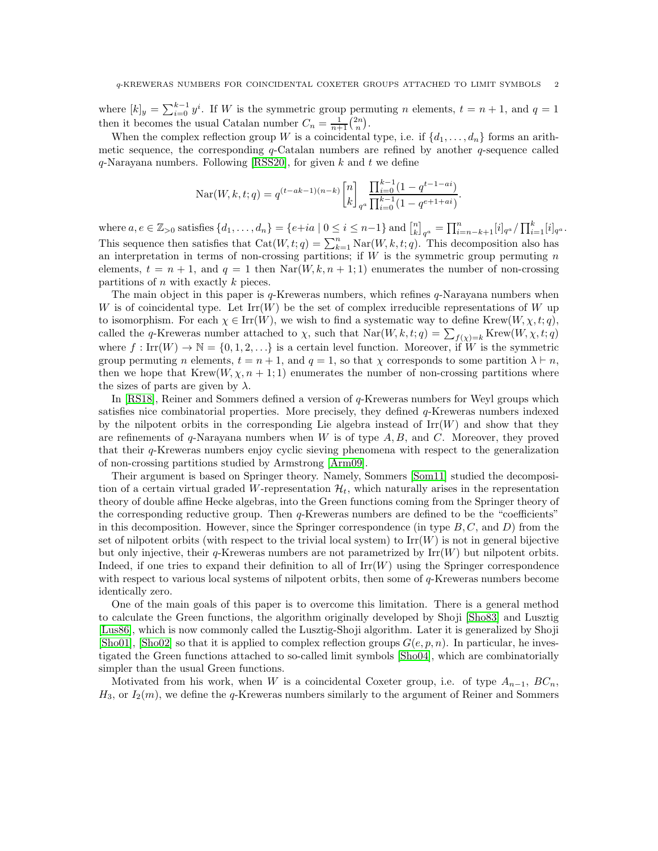where  $[k]_y = \sum_{i=0}^{k-1} y^i$ . If W is the symmetric group permuting n elements,  $t = n + 1$ , and  $q = 1$ then it becomes the usual Catalan number  $C_n = \frac{1}{n+1} {2n \choose n}$ .

When the complex reflection group W is a coincidental type, i.e. if  $\{d_1, \ldots, d_n\}$  forms an arithmetic sequence, the corresponding  $q$ -Catalan numbers are refined by another  $q$ -sequence called  $q$ -Narayana numbers. Following [\[RSS20\]](#page-24-2), for given k and t we define

$$
Nar(W, k, t; q) = q^{(t - ak - 1)(n - k)} \begin{bmatrix} n \\ k \end{bmatrix}_{q^a} \frac{\prod_{i=0}^{k-1} (1 - q^{t-1 - ai})}{\prod_{i=0}^{k-1} (1 - q^{e+1 + ai})}
$$

.

where  $a, e \in \mathbb{Z}_{>0}$  satisfies  $\{d_1, \ldots, d_n\} = \{e + ia \mid 0 \le i \le n-1\}$  and  $\binom{n}{k}_{q}$   $= \prod_{i=n-k+1}^{n} [i]_{q}$   $\alpha / \prod_{i=1}^{k} [i]_{q}$ . This sequence then satisfies that  $Cat(W, t; q) = \sum_{k=1}^{n} \text{Nar}(W, k, t; q)$ . This decomposition also has an interpretation in terms of non-crossing partitions; if  $W$  is the symmetric group permuting  $n$ elements,  $t = n + 1$ , and  $q = 1$  then  $\text{Nar}(W, k, n + 1; 1)$  enumerates the number of non-crossing partitions of  $n$  with exactly  $k$  pieces.

The main object in this paper is  $q$ -Kreweras numbers, which refines  $q$ -Narayana numbers when W is of coincidental type. Let  $\text{Irr}(W)$  be the set of complex irreducible representations of W up to isomorphism. For each  $\chi \in \text{Irr}(W)$ , we wish to find a systematic way to define Krew $(W, \chi, t; q)$ , called the q-Kreweras number attached to  $\chi$ , such that  $\text{Nar}(W, k, t; q) = \sum_{f(\chi)=k} \text{Krew}(W, \chi, t; q)$ where  $f: \text{Irr}(W) \to \mathbb{N} = \{0, 1, 2, \ldots\}$  is a certain level function. Moreover, if W is the symmetric group permuting n elements,  $t = n + 1$ , and  $q = 1$ , so that  $\chi$  corresponds to some partition  $\lambda \vdash n$ , then we hope that Krew $(W, \chi, n+1; 1)$  enumerates the number of non-crossing partitions where the sizes of parts are given by  $\lambda$ .

In [\[RS18\]](#page-24-3), Reiner and Sommers defined a version of q-Kreweras numbers for Weyl groups which satisfies nice combinatorial properties. More precisely, they defined q-Kreweras numbers indexed by the nilpotent orbits in the corresponding Lie algebra instead of  $\text{Irr}(W)$  and show that they are refinements of  $q$ -Narayana numbers when W is of type  $A, B$ , and C. Moreover, they proved that their q-Kreweras numbers enjoy cyclic sieving phenomena with respect to the generalization of non-crossing partitions studied by Armstrong [\[Arm09\]](#page-24-4).

Their argument is based on Springer theory. Namely, Sommers [\[Som11\]](#page-24-5) studied the decomposition of a certain virtual graded W-representation  $\mathcal{H}_t$ , which naturally arises in the representation theory of double affine Hecke algebras, into the Green functions coming from the Springer theory of the corresponding reductive group. Then  $q$ -Kreweras numbers are defined to be the "coefficients" in this decomposition. However, since the Springer correspondence (in type  $B, C$ , and  $D$ ) from the set of nilpotent orbits (with respect to the trivial local system) to  $\text{Irr}(W)$  is not in general bijective but only injective, their  $q$ -Kreweras numbers are not parametrized by  $\text{Irr}(W)$  but nilpotent orbits. Indeed, if one tries to expand their definition to all of  $\text{Irr}(W)$  using the Springer correspondence with respect to various local systems of nilpotent orbits, then some of  $q$ -Kreweras numbers become identically zero.

One of the main goals of this paper is to overcome this limitation. There is a general method to calculate the Green functions, the algorithm originally developed by Shoji [\[Sho83\]](#page-24-6) and Lusztig [\[Lus86\]](#page-24-7), which is now commonly called the Lusztig-Shoji algorithm. Later it is generalized by Shoji [\[Sho01\]](#page-24-8), [\[Sho02\]](#page-24-9) so that it is applied to complex reflection groups  $G(e, p, n)$ . In particular, he investigated the Green functions attached to so-called limit symbols [\[Sho04\]](#page-24-10), which are combinatorially simpler than the usual Green functions.

Motivated from his work, when W is a coincidental Coxeter group, i.e. of type  $A_{n-1}$ ,  $BC_n$ ,  $H_3$ , or  $I_2(m)$ , we define the q-Kreweras numbers similarly to the argument of Reiner and Sommers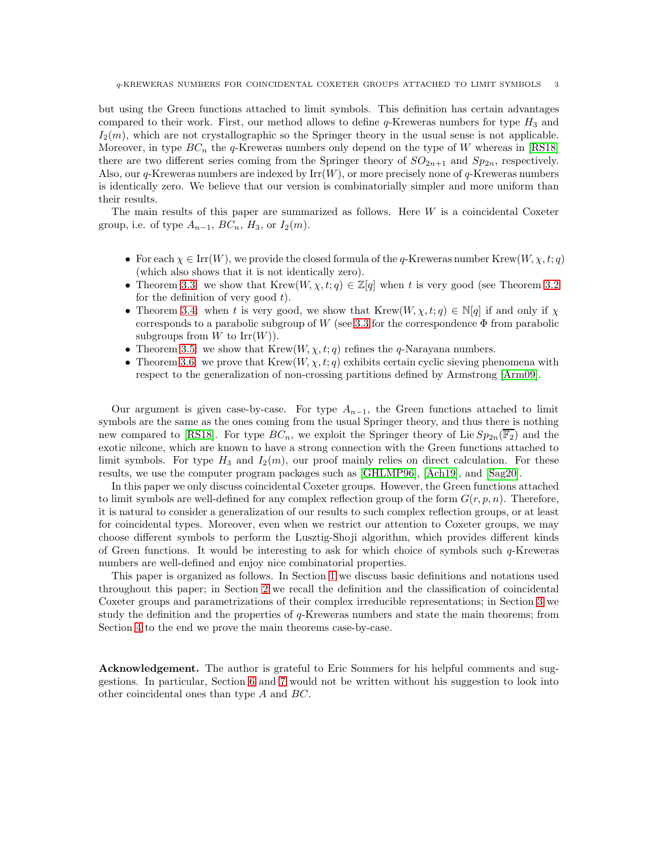but using the Green functions attached to limit symbols. This definition has certain advantages compared to their work. First, our method allows to define  $q$ -Kreweras numbers for type  $H_3$  and  $I_2(m)$ , which are not crystallographic so the Springer theory in the usual sense is not applicable. Moreover, in type  $BC_n$  the q-Kreweras numbers only depend on the type of W whereas in [\[RS18\]](#page-24-3) there are two different series coming from the Springer theory of  $SO_{2n+1}$  and  $Sp_{2n}$ , respectively. Also, our q-Kreweras numbers are indexed by  $\text{Irr}(W)$ , or more precisely none of q-Kreweras numbers is identically zero. We believe that our version is combinatorially simpler and more uniform than their results.

The main results of this paper are summarized as follows. Here  $W$  is a coincidental Coxeter group, i.e. of type  $A_{n-1}$ ,  $BC_n$ ,  $H_3$ , or  $I_2(m)$ .

- For each  $\chi \in \text{Irr}(W)$ , we provide the closed formula of the q-Kreweras number Krew $(W, \chi, t; q)$ (which also shows that it is not identically zero).
- Theorem [3.3:](#page-6-0) we show that Krew $(W, \chi, t; q) \in \mathbb{Z}[q]$  when t is very good (see Theorem [3.2](#page-5-0)) for the definition of very good  $t$ ).
- Theorem [3.4:](#page-7-0) when t is very good, we show that  $Krew(W, \chi, t; q) \in \mathbb{N}[q]$  if and only if  $\chi$ corresponds to a parabolic subgroup of W (see [3.3](#page-6-1) for the correspondence  $\Phi$  from parabolic subgroups from W to  $\text{Irr}(W)$ ).
- Theorem [3.5:](#page-7-1) we show that  $Krew(W, \chi, t; q)$  refines the q-Narayana numbers.
- Theorem [3.6:](#page-8-1) we prove that  $Krew(W, \chi, t; q)$  exhibits certain cyclic sieving phenomena with respect to the generalization of non-crossing partitions defined by Armstrong [\[Arm09\]](#page-24-4).

Our argument is given case-by-case. For type  $A_{n-1}$ , the Green functions attached to limit symbols are the same as the ones coming from the usual Springer theory, and thus there is nothing new compared to [\[RS18\]](#page-24-3). For type  $BC_n$ , we exploit the Springer theory of Lie  $Sp_{2n}(\mathbb{F}_2)$  and the exotic nilcone, which are known to have a strong connection with the Green functions attached to limit symbols. For type  $H_3$  and  $I_2(m)$ , our proof mainly relies on direct calculation. For these results, we use the computer program packages such as [\[GHLMP96\]](#page-24-11), [\[Ach19\]](#page-23-1), and [\[Sag20\]](#page-24-12).

In this paper we only discuss coincidental Coxeter groups. However, the Green functions attached to limit symbols are well-defined for any complex reflection group of the form  $G(r, p, n)$ . Therefore, it is natural to consider a generalization of our results to such complex reflection groups, or at least for coincidental types. Moreover, even when we restrict our attention to Coxeter groups, we may choose different symbols to perform the Lusztig-Shoji algorithm, which provides different kinds of Green functions. It would be interesting to ask for which choice of symbols such  $q$ -Kreweras numbers are well-defined and enjoy nice combinatorial properties.

This paper is organized as follows. In Section [1](#page-3-0) we discuss basic definitions and notations used throughout this paper; in Section [2](#page-3-1) we recall the definition and the classification of coincidental Coxeter groups and parametrizations of their complex irreducible representations; in Section [3](#page-4-0) we study the definition and the properties of q-Kreweras numbers and state the main theorems; from Section [4](#page-8-0) to the end we prove the main theorems case-by-case.

Acknowledgement. The author is grateful to Eric Sommers for his helpful comments and suggestions. In particular, Section [6](#page-18-0) and [7](#page-22-0) would not be written without his suggestion to look into other coincidental ones than type A and BC.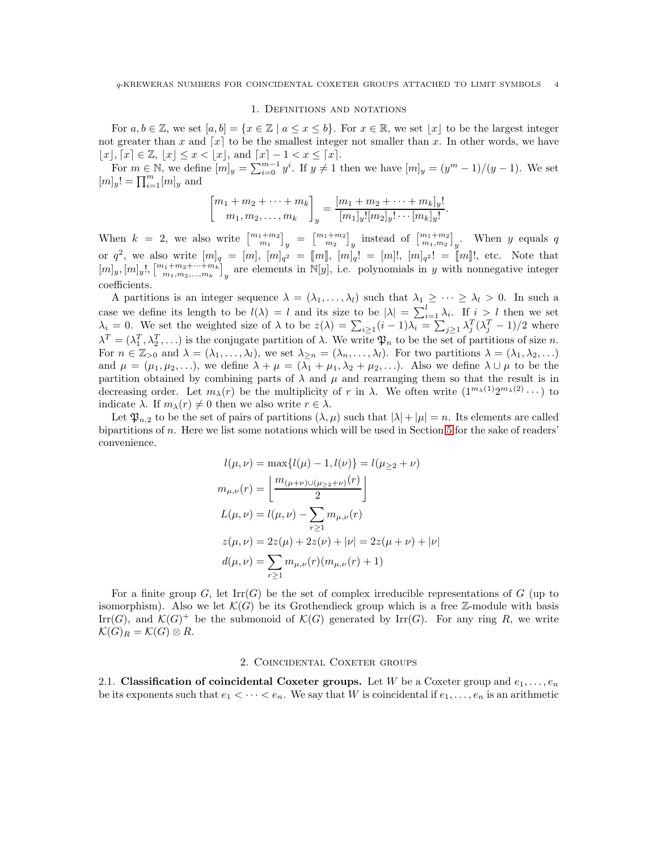#### 1. Definitions and notations

<span id="page-3-0"></span>For  $a, b \in \mathbb{Z}$ , we set  $[a, b] = \{x \in \mathbb{Z} \mid a \le x \le b\}$ . For  $x \in \mathbb{R}$ , we set  $|x|$  to be the largest integer not greater than x and  $[x]$  to be the smallest integer not smaller than x. In other words, we have  $[x], [x] \in \mathbb{Z}, [x] \leq x < [x],$  and  $[x] - 1 < x \leq [x].$ 

For  $m \in \mathbb{N}$ , we define  $[m]_y = \sum_{i=0}^{m-1} y^i$ . If  $y \neq 1$  then we have  $[m]_y = (y^m - 1)/(y - 1)$ . We set  $[m]_y! = \prod_{i=1}^m [m]_y$  and

$$
\begin{bmatrix} m_1 + m_2 + \dots + m_k \\ m_1, m_2, \dots, m_k \end{bmatrix}_y = \frac{[m_1 + m_2 + \dots + m_k]_y!}{[m_1]_y! [m_2]_y! \dots [m_k]_y!}.
$$

When  $k = 2$ , we also write  $\begin{bmatrix} m_1+m_2 \ m_1 \end{bmatrix}_y = \begin{bmatrix} m_1+m_2 \ m_2 \end{bmatrix}_y$  instead of  $\begin{bmatrix} m_1+m_2 \ m_1,m_2 \end{bmatrix}_y$ . When y equals q or  $q^2$ , we also write  $[m]_q = [m]$ ,  $[m]_{q^2} = [m]$ ,  $[m]_q! = [m]!$ ,  $[m]_{q^2}! = [m]!$ , etc. Note that  $[m]_y, [m]_y, [m]_y, [m_1+m_2+\cdots+m_k]_y$  are elements in N[y], i.e. polynomials in y with nonnegative integer coefficients.

A partitions is an integer sequence  $\lambda = (\lambda_1, \ldots, \lambda_l)$  such that  $\lambda_1 \geq \cdots \geq \lambda_l > 0$ . In such a case we define its length to be  $l(\lambda) = l$  and its size to be  $|\lambda| = \sum_{i=1}^{l} \lambda_i$ . If  $i > l$  then we set  $\lambda_i = 0$ . We set the weighted size of  $\lambda$  to be  $z(\lambda) = \sum_{i \geq 1} (i-1)\lambda_i = \sum_{j \geq 1} \lambda_j^T (\lambda_j^T - 1)/2$  where  $\lambda^T = (\lambda_1^T, \lambda_2^T, \ldots)$  is the conjugate partition of  $\lambda$ . We write  $\mathfrak{P}_n$  to be the set of partitions of size n. For  $n \in \mathbb{Z}_{>0}$  and  $\lambda = (\lambda_1, \ldots, \lambda_l)$ , we set  $\lambda_{\geq n} = (\lambda_n, \ldots, \lambda_l)$ . For two partitions  $\lambda = (\lambda_1, \lambda_2, \ldots)$ and  $\mu = (\mu_1, \mu_2, \ldots)$ , we define  $\lambda + \mu = (\lambda_1 + \mu_1, \lambda_2 + \mu_2, \ldots)$ . Also we define  $\lambda \cup \mu$  to be the partition obtained by combining parts of  $\lambda$  and  $\mu$  and rearranging them so that the result is in decreasing order. Let  $m_{\lambda}(r)$  be the multiplicity of r in  $\lambda$ . We often write  $(1^{m_{\lambda}(1)}2^{m_{\lambda}(2)}\cdots)$  to indicate  $\lambda$ . If  $m_{\lambda}(r) \neq 0$  then we also write  $r \in \lambda$ .

Let  $\mathfrak{P}_{n,2}$  to be the set of pairs of partitions  $(\lambda, \mu)$  such that  $|\lambda| + |\mu| = n$ . Its elements are called bipartitions of  $n$ . Here we list some notations which will be used in Section [5](#page-9-0) for the sake of readers' convenience.

$$
l(\mu, \nu) = \max\{l(\mu) - 1, l(\nu)\} = l(\mu_{\geq 2} + \nu)
$$
  
\n
$$
m_{\mu, \nu}(r) = \left\lfloor \frac{m_{(\mu+\nu)\cup(\mu_{\geq 2}+\nu)}(r)}{2} \right\rfloor
$$
  
\n
$$
L(\mu, \nu) = l(\mu, \nu) - \sum_{r \geq 1} m_{\mu, \nu}(r)
$$
  
\n
$$
z(\mu, \nu) = 2z(\mu) + 2z(\nu) + |\nu| = 2z(\mu + \nu) + |\nu|
$$
  
\n
$$
d(\mu, \nu) = \sum_{r \geq 1} m_{\mu, \nu}(r)(m_{\mu, \nu}(r) + 1)
$$

For a finite group  $G$ , let  $\text{Irr}(G)$  be the set of complex irreducible representations of G (up to isomorphism). Also we let  $\mathcal{K}(G)$  be its Grothendieck group which is a free Z-module with basis Irr(G), and  $\mathcal{K}(G)^+$  be the submonoid of  $\mathcal{K}(G)$  generated by Irr(G). For any ring R, we write  $\mathcal{K}(G)_R = \mathcal{K}(G) \otimes R$ .

### 2. Coincidental Coxeter groups

<span id="page-3-1"></span>2.1. Classification of coincidental Coxeter groups. Let W be a Coxeter group and  $e_1, \ldots, e_n$ be its exponents such that  $e_1 < \cdots < e_n$ . We say that W is coincidental if  $e_1, \ldots, e_n$  is an arithmetic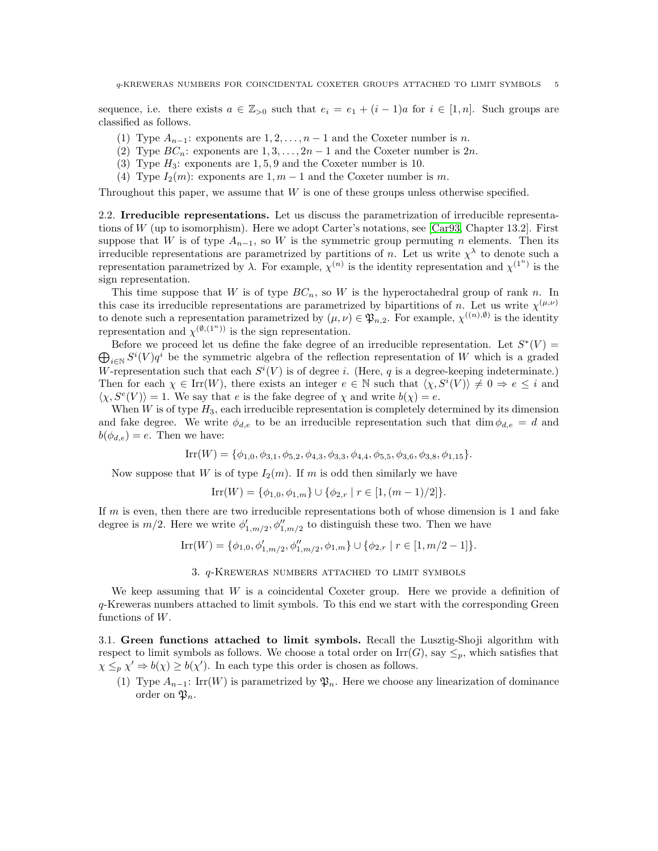sequence, i.e. there exists  $a \in \mathbb{Z}_{\geq 0}$  such that  $e_i = e_1 + (i - 1)a$  for  $i \in [1, n]$ . Such groups are classified as follows.

- (1) Type  $A_{n-1}$ : exponents are  $1, 2, \ldots, n-1$  and the Coxeter number is n.
- (2) Type  $BC_n$ : exponents are  $1, 3, \ldots, 2n-1$  and the Coxeter number is  $2n$ .
- (3) Type  $H_3$ : exponents are 1, 5, 9 and the Coxeter number is 10.
- (4) Type  $I_2(m)$ : exponents are 1,  $m-1$  and the Coxeter number is m.

Throughout this paper, we assume that  $W$  is one of these groups unless otherwise specified.

2.2. Irreducible representations. Let us discuss the parametrization of irreducible representations of W (up to isomorphism). Here we adopt Carter's notations, see [\[Car93,](#page-24-13) Chapter 13.2]. First suppose that W is of type  $A_{n-1}$ , so W is the symmetric group permuting n elements. Then its irreducible representations are parametrized by partitions of n. Let us write  $\chi^{\lambda}$  to denote such a representation parametrized by  $\lambda$ . For example,  $\chi^{(n)}$  is the identity representation and  $\chi^{(1^n)}$  is the sign representation.

This time suppose that W is of type  $BC_n$ , so W is the hyperoctahedral group of rank n. In this case its irreducible representations are parametrized by bipartitions of n. Let us write  $\chi^{(\mu,\nu)}$ to denote such a representation parametrized by  $(\mu, \nu) \in \mathfrak{P}_{n,2}$ . For example,  $\chi^{((n),\emptyset)}$  is the identity representation and  $\chi^{(\emptyset,(1^n))}$  is the sign representation.

Before we proceed let us define the fake degree of an irreducible representation. Let  $S^*(V)$  =  $\bigoplus_{i\in\mathbb{N}}S^i(V)q^i$  be the symmetric algebra of the reflection representation of W which is a graded W-representation such that each  $S^i(V)$  is of degree i. (Here, q is a degree-keeping indeterminate.) Then for each  $\chi \in \text{Irr}(W)$ , there exists an integer  $e \in \mathbb{N}$  such that  $\langle \chi, S^i(V) \rangle \neq 0 \Rightarrow e \leq i$  and  $\langle \chi, S^e(V) \rangle = 1$ . We say that e is the fake degree of  $\chi$  and write  $b(\chi) = e$ .

When  $W$  is of type  $H_3$ , each irreducible representation is completely determined by its dimension and fake degree. We write  $\phi_{d,e}$  to be an irreducible representation such that dim  $\phi_{d,e} = d$  and  $b(\phi_{d,e})=e$ . Then we have:

$$
Irr(W) = \{ \phi_{1,0}, \phi_{3,1}, \phi_{5,2}, \phi_{4,3}, \phi_{3,3}, \phi_{4,4}, \phi_{5,5}, \phi_{3,6}, \phi_{3,8}, \phi_{1,15} \}.
$$

Now suppose that W is of type  $I_2(m)$ . If m is odd then similarly we have

$$
Irr(W) = \{ \phi_{1,0}, \phi_{1,m} \} \cup \{ \phi_{2,r} \mid r \in [1, (m-1)/2] \}.
$$

If  $m$  is even, then there are two irreducible representations both of whose dimension is 1 and fake degree is  $m/2$ . Here we write  $\phi'_{1,m/2}, \phi''_{1,m/2}$  to distinguish these two. Then we have

$$
\mathrm{Irr}(W) = \{ \phi_{1,0}, \phi'_{1,m/2}, \phi''_{1,m/2}, \phi_{1,m} \} \cup \{ \phi_{2,r} \mid r \in [1, m/2 - 1] \}.
$$

## 3. q-Kreweras numbers attached to limit symbols

<span id="page-4-0"></span>We keep assuming that  $W$  is a coincidental Coxeter group. Here we provide a definition of q-Kreweras numbers attached to limit symbols. To this end we start with the corresponding Green functions of W.

3.1. Green functions attached to limit symbols. Recall the Lusztig-Shoji algorithm with respect to limit symbols as follows. We choose a total order on  $\text{Irr}(G)$ , say  $\leq_p$ , which satisfies that  $\chi \leq_p \chi' \Rightarrow b(\chi) \geq b(\chi')$ . In each type this order is chosen as follows.

(1) Type  $A_{n-1}$ : Irr(W) is parametrized by  $\mathfrak{P}_n$ . Here we choose any linearization of dominance order on  $\mathfrak{P}_n$ .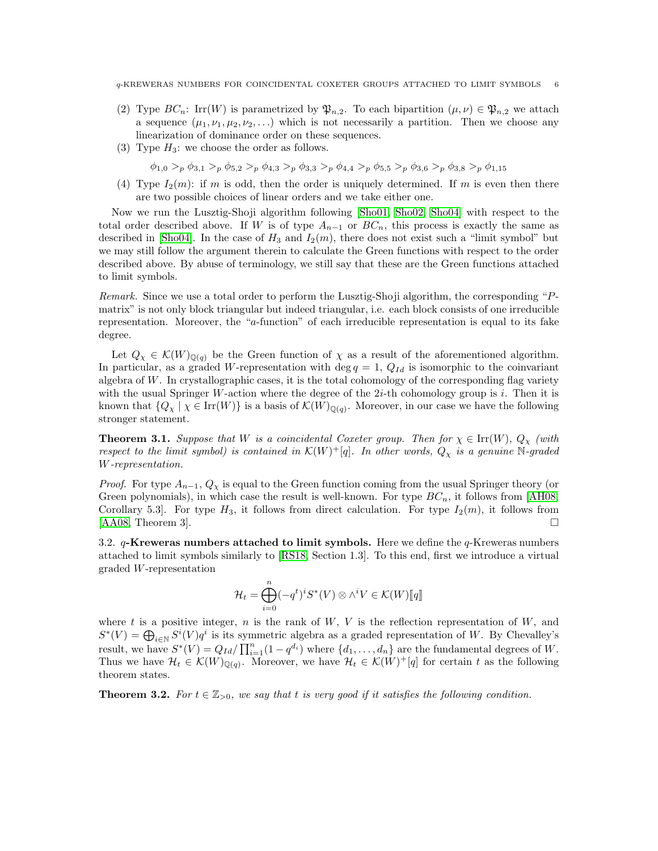- (2) Type  $BC_n$ : Irr(W) is parametrized by  $\mathfrak{P}_{n,2}$ . To each bipartition  $(\mu, \nu) \in \mathfrak{P}_{n,2}$  we attach a sequence  $(\mu_1, \nu_1, \mu_2, \nu_2, \ldots)$  which is not necessarily a partition. Then we choose any linearization of dominance order on these sequences.
- (3) Type  $H_3$ : we choose the order as follows.

 $\phi_{1,0} >_{p} \phi_{3,1} >_{p} \phi_{5,2} >_{p} \phi_{4,3} >_{p} \phi_{3,3} >_{p} \phi_{4,4} >_{p} \phi_{5,5} >_{p} \phi_{3,6} >_{p} \phi_{3,8} >_{p} \phi_{1,15}$ 

(4) Type  $I_2(m)$ : if m is odd, then the order is uniquely determined. If m is even then there are two possible choices of linear orders and we take either one.

Now we run the Lusztig-Shoji algorithm following [\[Sho01,](#page-24-8) [Sho02,](#page-24-9) [Sho04\]](#page-24-10) with respect to the total order described above. If W is of type  $A_{n-1}$  or  $BC_n$ , this process is exactly the same as described in [\[Sho04\]](#page-24-10). In the case of  $H_3$  and  $I_2(m)$ , there does not exist such a "limit symbol" but we may still follow the argument therein to calculate the Green functions with respect to the order described above. By abuse of terminology, we still say that these are the Green functions attached to limit symbols.

Remark. Since we use a total order to perform the Lusztig-Shoji algorithm, the corresponding "Pmatrix" is not only block triangular but indeed triangular, i.e. each block consists of one irreducible representation. Moreover, the "a-function" of each irreducible representation is equal to its fake degree.

Let  $Q_\chi \in \mathcal{K}(W)_{\mathbb{Q}(q)}$  be the Green function of  $\chi$  as a result of the aforementioned algorithm. In particular, as a graded W-representation with deg  $q = 1$ ,  $Q_{Id}$  is isomorphic to the coinvariant algebra of W. In crystallographic cases, it is the total cohomology of the corresponding flag variety with the usual Springer W-action where the degree of the  $2i$ -th cohomology group is i. Then it is known that  ${Q_\chi | \chi \in \text{Irr}(W)}$  is a basis of  $\mathcal{K}(W)_{\mathbb{Q}(q)}$ . Moreover, in our case we have the following stronger statement.

**Theorem 3.1.** Suppose that W is a coincidental Coxeter group. Then for  $\chi \in \text{Irr}(W)$ ,  $Q_{\chi}$  (with respect to the limit symbol) is contained in  $\mathcal{K}(W)^+[q]$ . In other words,  $Q_\chi$  is a genuine N-graded W-representation.

*Proof.* For type  $A_{n-1}$ ,  $Q_{\chi}$  is equal to the Green function coming from the usual Springer theory (or Green polynomials), in which case the result is well-known. For type  $BC_n$ , it follows from [\[AH08,](#page-23-2) Corollary 5.3. For type  $H_3$ , it follows from direct calculation. For type  $I_2(m)$ , it follows from  $[AA08, Theorem 3]$  $[AA08, Theorem 3]$ .

3.2.  $q$ -Kreweras numbers attached to limit symbols. Here we define the  $q$ -Kreweras numbers attached to limit symbols similarly to [\[RS18,](#page-24-3) Section 1.3]. To this end, first we introduce a virtual graded W-representation

$$
\mathcal{H}_t = \bigoplus_{i=0}^n (-q^t)^i S^*(V) \otimes \wedge^i V \in \mathcal{K}(W)[\![q]\!]
$$

where t is a positive integer, n is the rank of  $W, V$  is the reflection representation of  $W$ , and  $S^*(V) = \bigoplus_{i \in \mathbb{N}} S^i(V) q^i$  is its symmetric algebra as a graded representation of W. By Chevalley's result, we have  $S^*(V) = Q_{Id}/\prod_{i=1}^n(1-q^{d_i})$  where  $\{d_1,\ldots,d_n\}$  are the fundamental degrees of W. Thus we have  $\mathcal{H}_t \in \mathcal{K}(W)_{\mathbb{Q}(q)}$ . Moreover, we have  $\mathcal{H}_t \in \mathcal{K}(W)^+ [q]$  for certain t as the following theorem states.

<span id="page-5-0"></span>**Theorem 3.2.** For  $t \in \mathbb{Z}_{>0}$ , we say that t is very good if it satisfies the following condition.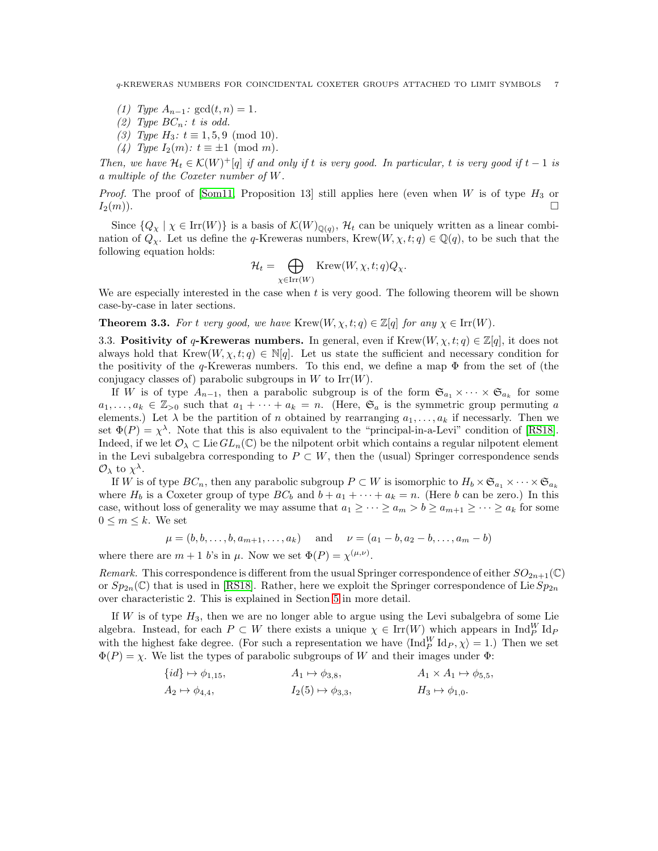q-KREWERAS NUMBERS FOR COINCIDENTAL COXETER GROUPS ATTACHED TO LIMIT SYMBOLS 7

- (1) Type  $A_{n-1}$ :  $gcd(t, n) = 1$ .
- (2) Type  $BC_n: t$  is odd.
- (3) Type  $H_3: t \equiv 1, 5, 9 \pmod{10}$ .
- (4) Type  $I_2(m)$ :  $t \equiv \pm 1 \pmod{m}$ .

Then, we have  $\mathcal{H}_t \in \mathcal{K}(W)^+ [q]$  if and only if t is very good. In particular, t is very good if  $t-1$  is a multiple of the Coxeter number of W.

*Proof.* The proof of [\[Som11,](#page-24-5) Proposition 13] still applies here (even when W is of type  $H_3$  or  $I_2(m)$ .

Since  $\{Q_\chi \mid \chi \in \text{Irr}(W)\}\$ is a basis of  $\mathcal{K}(W)_{\mathbb{Q}(q)}$ ,  $\mathcal{H}_t$  can be uniquely written as a linear combination of  $Q_\chi$ . Let us define the q-Kreweras numbers, Krew $(W, \chi, t; q) \in \mathbb{Q}(q)$ , to be such that the following equation holds:

$$
\mathcal{H}_t = \bigoplus_{\chi \in \text{Irr}(W)} \text{Krew}(W, \chi, t; q) Q_{\chi}.
$$

We are especially interested in the case when  $t$  is very good. The following theorem will be shown case-by-case in later sections.

<span id="page-6-1"></span><span id="page-6-0"></span>**Theorem 3.3.** For t very good, we have Krew $(W, \chi, t; q) \in \mathbb{Z}[q]$  for any  $\chi \in \text{Irr}(W)$ .

3.3. Positivity of q-Kreweras numbers. In general, even if  $Krew(W, \chi, t; q) \in \mathbb{Z}[q]$ , it does not always hold that Krew $(W, \chi, t; q) \in \mathbb{N}[q]$ . Let us state the sufficient and necessary condition for the positivity of the  $q$ -Kreweras numbers. To this end, we define a map  $\Phi$  from the set of (the conjugacy classes of) parabolic subgroups in  $W$  to  $\text{Irr}(W)$ .

If W is of type  $A_{n-1}$ , then a parabolic subgroup is of the form  $\mathfrak{S}_{a_1} \times \cdots \times \mathfrak{S}_{a_k}$  for some  $a_1, \ldots, a_k \in \mathbb{Z}_{>0}$  such that  $a_1 + \cdots + a_k = n$ . (Here,  $\mathfrak{S}_a$  is the symmetric group permuting a elements.) Let  $\lambda$  be the partition of n obtained by rearranging  $a_1, \ldots, a_k$  if necessarly. Then we set  $\Phi(P) = \chi^{\lambda}$ . Note that this is also equivalent to the "principal-in-a-Levi" condition of [\[RS18\]](#page-24-3). Indeed, if we let  $\mathcal{O}_\lambda \subset \text{Lie } GL_n(\mathbb{C})$  be the nilpotent orbit which contains a regular nilpotent element in the Levi subalgebra corresponding to  $P \subset W$ , then the (usual) Springer correspondence sends  $\mathcal{O}_{\lambda}$  to  $\chi^{\lambda}$ .

If W is of type  $BC_n$ , then any parabolic subgroup  $P \subset W$  is isomorphic to  $H_b \times \mathfrak{S}_{a_1} \times \cdots \times \mathfrak{S}_{a_k}$ where  $H_b$  is a Coxeter group of type  $BC_b$  and  $b + a_1 + \cdots + a_k = n$ . (Here b can be zero.) In this case, without loss of generality we may assume that  $a_1 \geq \cdots \geq a_m > b \geq a_{m+1} \geq \cdots \geq a_k$  for some  $0 \leq m \leq k$ . We set

$$
\mu = (b, b, \dots, b, a_{m+1}, \dots, a_k)
$$
 and  $\nu = (a_1 - b, a_2 - b, \dots, a_m - b)$ 

where there are  $m + 1$  b's in  $\mu$ . Now we set  $\Phi(P) = \chi^{(\mu,\nu)}$ .

Remark. This correspondence is different from the usual Springer correspondence of either  $SO_{2n+1}(\mathbb{C})$ or  $Sp_{2n}(\mathbb{C})$  that is used in [\[RS18\]](#page-24-3). Rather, here we exploit the Springer correspondence of Lie  $Sp_{2n}$ over characteristic 2. This is explained in Section [5](#page-9-0) in more detail.

If  $W$  is of type  $H_3$ , then we are no longer able to argue using the Levi subalgebra of some Lie algebra. Instead, for each  $P \subset W$  there exists a unique  $\chi \in \text{Irr}(W)$  which appears in  $\text{Ind}_{P}^{W} \text{Id}_{P}$ with the highest fake degree. (For such a representation we have  $\langle \text{Ind}_{P}^{W} \text{Id}_{P}, \chi \rangle = 1$ .) Then we set  $\Phi(P) = \chi$ . We list the types of parabolic subgroups of W and their images under  $\Phi$ :

$$
\{id\} \mapsto \phi_{1,15}, \qquad A_1 \mapsto \phi_{3,8}, \qquad A_1 \times A_1 \mapsto \phi_{5,5},
$$
  

$$
A_2 \mapsto \phi_{4,4}, \qquad I_2(5) \mapsto \phi_{3,3}, \qquad H_3 \mapsto \phi_{1,0}.
$$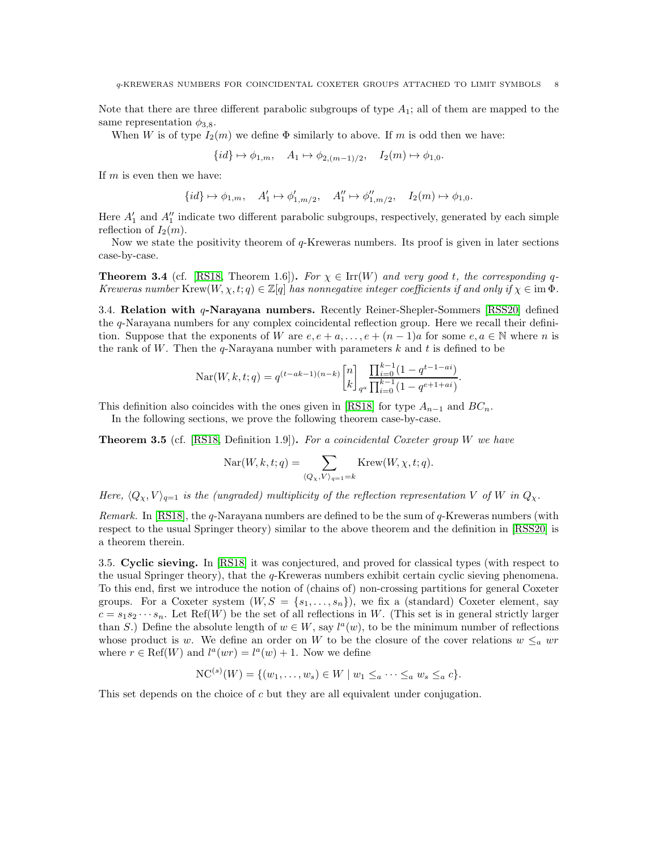Note that there are three different parabolic subgroups of type  $A_1$ ; all of them are mapped to the same representation  $\phi_{3,8}$ .

When W is of type  $I_2(m)$  we define  $\Phi$  similarly to above. If m is odd then we have:

$$
\{id\} \mapsto \phi_{1,m}, \quad A_1 \mapsto \phi_{2,(m-1)/2}, \quad I_2(m) \mapsto \phi_{1,0}.
$$

If  $m$  is even then we have:

$$
\{id\} \mapsto \phi_{1,m}, \quad A'_1 \mapsto \phi'_{1,m/2}, \quad A''_1 \mapsto \phi''_{1,m/2}, \quad I_2(m) \mapsto \phi_{1,0}.
$$

Here  $A'_1$  and  $A''_1$  indicate two different parabolic subgroups, respectively, generated by each simple reflection of  $I_2(m)$ .

Now we state the positivity theorem of q-Kreweras numbers. Its proof is given in later sections case-by-case.

<span id="page-7-0"></span>**Theorem 3.4** (cf. [\[RS18,](#page-24-3) Theorem 1.6]). For  $\chi \in \text{Irr}(W)$  and very good t, the corresponding q-Kreweras number Krew $(W, \chi, t; q) \in \mathbb{Z}[q]$  has nonnegative integer coefficients if and only if  $\chi \in \text{im } \Phi$ .

3.4. Relation with q-Narayana numbers. Recently Reiner-Shepler-Sommers [\[RSS20\]](#page-24-2) defined the q-Narayana numbers for any complex coincidental reflection group. Here we recall their definition. Suppose that the exponents of W are  $e, e + a, \ldots, e + (n-1)a$  for some  $e, a \in \mathbb{N}$  where n is the rank of W. Then the  $q$ -Narayana number with parameters k and t is defined to be

$$
Nar(W, k, t; q) = q^{(t - ak - 1)(n - k)} {n \brack k}_{q^a} \frac{\prod_{i=0}^{k-1} (1 - q^{t-1 - ai})}{\prod_{i=0}^{k-1} (1 - q^{e+1 + ai})}.
$$

This definition also coincides with the ones given in [\[RS18\]](#page-24-3) for type  $A_{n-1}$  and  $BC_n$ .

In the following sections, we prove the following theorem case-by-case.

<span id="page-7-1"></span>**Theorem 3.5** (cf. [\[RS18,](#page-24-3) Definition 1.9]). For a coincidental Coxeter group W we have

$$
Nar(W, k, t; q) = \sum_{\langle Q_X, V \rangle_{q=1} = k} \text{Krew}(W, \chi, t; q).
$$

Here,  $\langle Q_{\chi}, V \rangle_{q=1}$  is the (ungraded) multiplicity of the reflection representation V of W in  $Q_{\chi}$ .

*Remark.* In [\[RS18\]](#page-24-3), the  $q$ -Narayana numbers are defined to be the sum of  $q$ -Kreweras numbers (with respect to the usual Springer theory) similar to the above theorem and the definition in [\[RSS20\]](#page-24-2) is a theorem therein.

<span id="page-7-2"></span>3.5. Cyclic sieving. In [\[RS18\]](#page-24-3) it was conjectured, and proved for classical types (with respect to the usual Springer theory), that the q-Kreweras numbers exhibit certain cyclic sieving phenomena. To this end, first we introduce the notion of (chains of) non-crossing partitions for general Coxeter groups. For a Coxeter system  $(W, S = \{s_1, \ldots, s_n\})$ , we fix a (standard) Coxeter element, say  $c = s_1 s_2 \cdots s_n$ . Let Ref(W) be the set of all reflections in W. (This set is in general strictly larger than S.) Define the absolute length of  $w \in W$ , say  $l^a(w)$ , to be the minimum number of reflections whose product is w. We define an order on W to be the closure of the cover relations  $w \leq_a wr$ where  $r \in \text{Ref}(W)$  and  $l^a(wr) = l^a(w) + 1$ . Now we define

$$
NC^{(s)}(W) = \{(w_1, \ldots, w_s) \in W \mid w_1 \leq_a \cdots \leq_a w_s \leq_a c\}.
$$

This set depends on the choice of c but they are all equivalent under conjugation.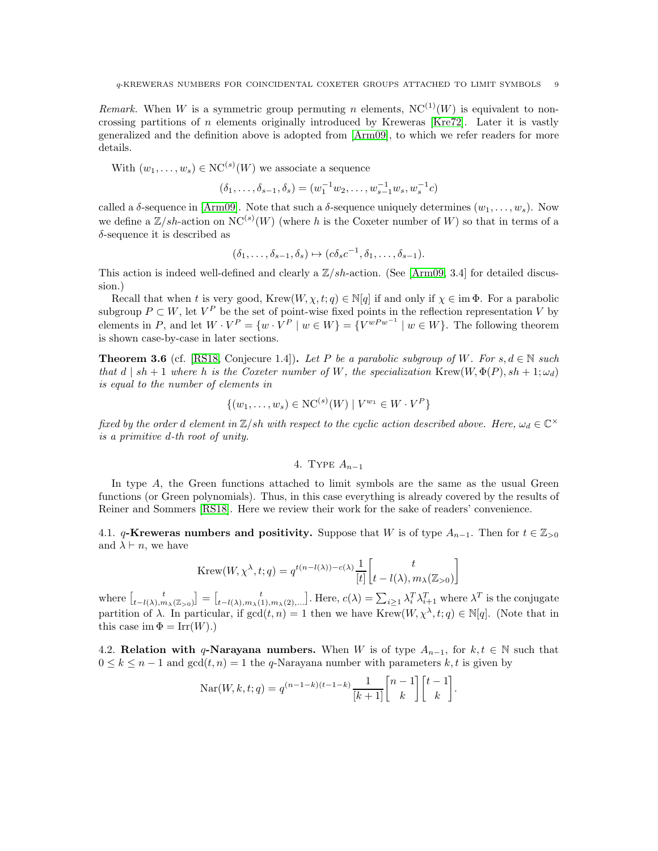Remark. When W is a symmetric group permuting n elements,  $NC^{(1)}(W)$  is equivalent to noncrossing partitions of  $n$  elements originally introduced by Kreweras [\[Kre72\]](#page-24-14). Later it is vastly generalized and the definition above is adopted from [\[Arm09\]](#page-24-4), to which we refer readers for more details.

With  $(w_1, \ldots, w_s) \in NC^{(s)}(W)$  we associate a sequence

$$
(\delta_1, \ldots, \delta_{s-1}, \delta_s) = (w_1^{-1} w_2, \ldots, w_{s-1}^{-1} w_s, w_s^{-1} c)
$$

called a  $\delta$ -sequence in [\[Arm09\]](#page-24-4). Note that such a  $\delta$ -sequence uniquely determines  $(w_1, \ldots, w_s)$ . Now we define a  $\mathbb{Z}/sh$ -action on  $NC^{(s)}(W)$  (where h is the Coxeter number of W) so that in terms of a  $\delta$ -sequence it is described as

$$
(\delta_1, \ldots, \delta_{s-1}, \delta_s) \mapsto (c \delta_s c^{-1}, \delta_1, \ldots, \delta_{s-1}).
$$

This action is indeed well-defined and clearly a  $\mathbb{Z}/sh$ -action. (See [\[Arm09,](#page-24-4) 3.4] for detailed discussion.)

Recall that when t is very good, Krew $(W, \chi, t; q) \in \mathbb{N}[q]$  if and only if  $\chi \in \text{im } \Phi$ . For a parabolic subgroup  $P \subset W$ , let  $V^P$  be the set of point-wise fixed points in the reflection representation V by elements in P, and let  $W \cdot V^P = \{w \cdot V^P \mid w \in W\} = \{V^{wPw^{-1}} \mid w \in W\}$ . The following theorem is shown case-by-case in later sections.

<span id="page-8-1"></span>**Theorem 3.6** (cf. [\[RS18,](#page-24-3) Conjecure 1.4]). Let P be a parabolic subgroup of W. For s,  $d \in \mathbb{N}$  such that  $d | sh + 1$  where h is the Coxeter number of W, the specialization Krew $(W, \Phi(P), sh + 1; \omega_d)$ is equal to the number of elements in

$$
\{(w_1, \ldots, w_s) \in \mathrm{NC}^{(s)}(W) \mid V^{w_1} \in W \cdot V^P\}
$$

<span id="page-8-0"></span>fixed by the order d element in  $\mathbb{Z}/sh$  with respect to the cyclic action described above. Here,  $\omega_d \in \mathbb{C}^{\times}$ is a primitive d-th root of unity.

# 4. TYPE  $A_{n-1}$

In type A, the Green functions attached to limit symbols are the same as the usual Green functions (or Green polynomials). Thus, in this case everything is already covered by the results of Reiner and Sommers [\[RS18\]](#page-24-3). Here we review their work for the sake of readers' convenience.

4.1. q-Kreweras numbers and positivity. Suppose that W is of type  $A_{n-1}$ . Then for  $t \in \mathbb{Z}_{>0}$ and  $\lambda \vdash n$ , we have

$$
\text{Krew}(W, \chi^{\lambda}, t; q) = q^{t(n-l(\lambda))-c(\lambda)} \frac{1}{[t]} \begin{bmatrix} t \\ t - l(\lambda), m_{\lambda}(\mathbb{Z}_{>0}) \end{bmatrix}
$$

where  $\begin{bmatrix} t \\ t-l(\lambda),m_\lambda(\mathbb{Z}_{>0}) \end{bmatrix} = \begin{bmatrix} t \\ t-l(\lambda),m_\lambda(1),m_\lambda(2), \dots \end{bmatrix}$ . Here,  $c(\lambda) = \sum_{i\geq 1} \lambda_i^T \lambda_{i+1}^T$  where  $\lambda^T$  is the conjugate partition of  $\lambda$ . In particular, if  $gcd(t, n) = 1$  then we have Krew $(W, \chi^{\lambda}, t; q) \in \mathbb{N}[q]$ . (Note that in this case im  $\Phi = \text{Irr}(W)$ .)

4.2. Relation with q-Narayana numbers. When W is of type  $A_{n-1}$ , for  $k, t \in \mathbb{N}$  such that  $0 \leq k \leq n-1$  and  $gcd(t, n) = 1$  the q-Narayana number with parameters k, t is given by

$$
\operatorname{Nar}(W, k, t; q) = q^{(n-1-k)(t-1-k)} \frac{1}{[k+1]} \begin{bmatrix} n-1 \\ k \end{bmatrix} \begin{bmatrix} t-1 \\ k \end{bmatrix}.
$$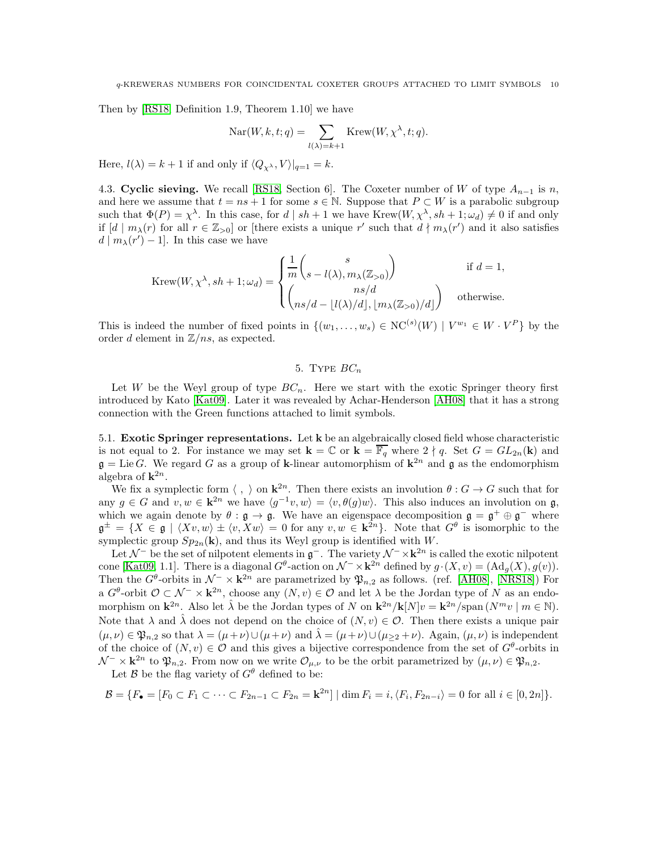Then by [\[RS18,](#page-24-3) Definition 1.9, Theorem 1.10] we have

$$
Nar(W, k, t; q) = \sum_{l(\lambda)=k+1} Krew(W, \chi^{\lambda}, t; q).
$$

Here,  $l(\lambda) = k + 1$  if and only if  $\langle Q_{\chi^{\lambda}} , V \rangle |_{q=1} = k$ .

4.3. Cyclic sieving. We recall [\[RS18,](#page-24-3) Section 6]. The Coxeter number of W of type  $A_{n-1}$  is n, and here we assume that  $t = ns + 1$  for some  $s \in \mathbb{N}$ . Suppose that  $P \subset W$  is a parabolic subgroup such that  $\Phi(P) = \chi^{\lambda}$ . In this case, for  $d | sh + 1$  we have Krew $(W, \chi^{\lambda}, sh + 1; \omega_d) \neq 0$  if and only if  $[d \mid m_\lambda(r)$  for all  $r \in \mathbb{Z}_{>0}$  or [there exists a unique r' such that  $d \nmid m_\lambda(r')$  and it also satisfies  $d \mid m_{\lambda}(r') - 1]$ . In this case we have

$$
\text{Krew}(W, \chi^{\lambda}, sh+1; \omega_d) = \begin{cases} \frac{1}{m} {s \choose s - l(\lambda), m_{\lambda}(\mathbb{Z}_{>0})} & \text{if } d = 1, \\ {ns/d \choose ns/d - \lfloor l(\lambda)/d \rfloor, \lfloor m_{\lambda}(\mathbb{Z}_{>0})/d \rfloor} & \text{otherwise.} \end{cases}
$$

<span id="page-9-0"></span>This is indeed the number of fixed points in  $\{(w_1,\ldots,w_s) \in NC^{(s)}(W) \mid V^{w_1} \in W \cdot V^P\}$  by the order d element in  $\mathbb{Z}/ns$ , as expected.

# 5. TYPE  $BC_n$

Let W be the Weyl group of type  $BC_n$ . Here we start with the exotic Springer theory first introduced by Kato [\[Kat09\]](#page-24-15). Later it was revealed by Achar-Henderson [\[AH08\]](#page-23-2) that it has a strong connection with the Green functions attached to limit symbols.

5.1. Exotic Springer representations. Let k be an algebraically closed field whose characteristic is not equal to 2. For instance we may set  $\mathbf{k} = \mathbb{C}$  or  $\mathbf{k} = \overline{\mathbb{F}_q}$  where  $2 \nmid q$ . Set  $G = GL_{2n}(\mathbf{k})$  and  $\mathfrak{g} = \text{Lie } G$ . We regard G as a group of k-linear automorphism of  $\mathbf{k}^{2n}$  and  $\mathfrak{g}$  as the endomorphism algebra of  $\mathbf{k}^{2n}$ .

We fix a symplectic form  $\langle , \rangle$  on  $\mathbf{k}^{2n}$ . Then there exists an involution  $\theta : G \to G$  such that for any  $g \in G$  and  $v, w \in \mathbf{k}^{2n}$  we have  $\langle g^{-1}v, w \rangle = \langle v, \theta(g)w \rangle$ . This also induces an involution on  $\mathfrak{g}$ , which we again denote by  $\theta : \mathfrak{g} \to \mathfrak{g}$ . We have an eigenspace decomposition  $\mathfrak{g} = \mathfrak{g}^+ \oplus \mathfrak{g}^-$  where  $\mathfrak{g}^{\pm} = \{X \in \mathfrak{g} \mid \langle Xv, w \rangle \pm \langle v, Xw \rangle = 0 \text{ for any } v, w \in \mathbf{k}^{2n}\}.$  Note that  $G^{\theta}$  is isomorphic to the symplectic group  $Sp_{2n}(\mathbf{k})$ , and thus its Weyl group is identified with W.

Let  $\mathcal{N}^-$  be the set of nilpotent elements in  $\mathfrak{g}^-$ . The variety  $\mathcal{N}^- \times \mathbf{k}^{2n}$  is called the exotic nilpotent cone [\[Kat09,](#page-24-15) 1.1]. There is a diagonal  $G^{\theta}$ -action on  $\mathcal{N}^- \times \mathbf{k}^{2n}$  defined by  $g \cdot (X, v) = (Ad_g(X), g(v))$ . Then the  $G^{\theta}$ -orbits in  $\mathcal{N}^- \times \mathbf{k}^{2n}$  are parametrized by  $\mathfrak{P}_{n,2}$  as follows. (ref. [\[AH08\]](#page-23-2), [\[NRS18\]](#page-24-16)) For a  $G^{\theta}$ -orbit  $\mathcal{O} \subset \mathcal{N}^- \times \mathbf{k}^{2n}$ , choose any  $(N, v) \in \mathcal{O}$  and let  $\lambda$  be the Jordan type of N as an endomorphism on  $\mathbf{k}^{2n}$ . Also let  $\hat{\lambda}$  be the Jordan types of N on  $\mathbf{k}^{2n}/\mathbf{k}[N]v = \mathbf{k}^{2n}/\text{span}(N^m v \mid m \in \mathbb{N})$ . Note that  $\lambda$  and  $\lambda$  does not depend on the choice of  $(N, v) \in \mathcal{O}$ . Then there exists a unique pair  $(\mu, \nu) \in \mathfrak{P}_{n,2}$  so that  $\lambda = (\mu + \nu) \cup (\mu + \nu)$  and  $\hat{\lambda} = (\mu + \nu) \cup (\mu_{\geq 2} + \nu)$ . Again,  $(\mu, \nu)$  is independent of the choice of  $(N, v) \in \mathcal{O}$  and this gives a bijective correspondence from the set of  $G^{\theta}$ -orbits in  $\mathcal{N}^- \times \mathbf{k}^{2n}$  to  $\mathfrak{P}_{n,2}$ . From now on we write  $\mathcal{O}_{\mu,\nu}$  to be the orbit parametrized by  $(\mu,\nu) \in \mathfrak{P}_{n,2}$ .

Let  $\mathcal B$  be the flag variety of  $G^{\theta}$  defined to be:

$$
\mathcal{B} = \{ F_{\bullet} = [F_0 \subset F_1 \subset \cdots \subset F_{2n-1} \subset F_{2n} = \mathbf{k}^{2n} ] \mid \dim F_i = i, \langle F_i, F_{2n-i} \rangle = 0 \text{ for all } i \in [0, 2n] \}.
$$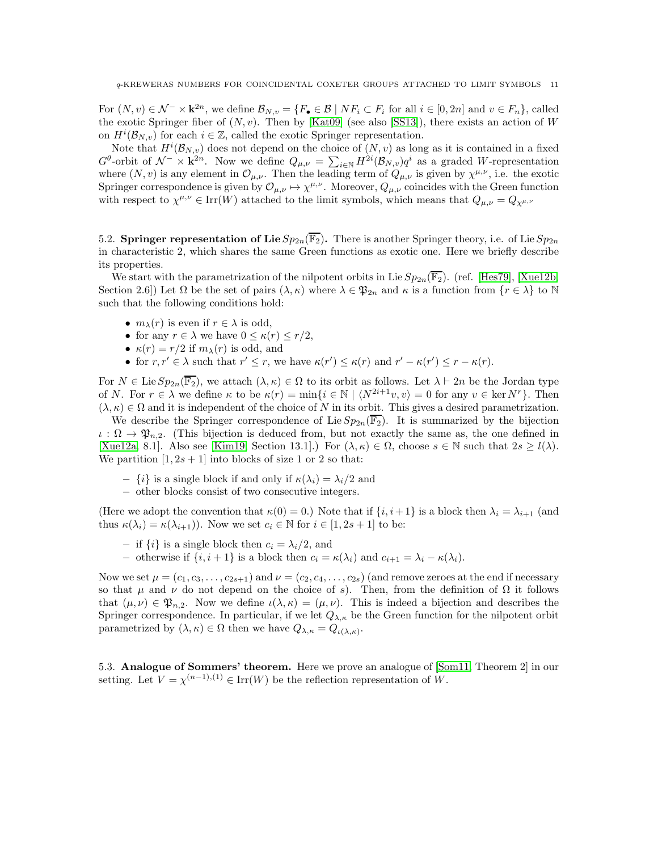For  $(N, v) \in \mathcal{N}^- \times \mathbf{k}^{2n}$ , we define  $\mathcal{B}_{N, v} = \{F_{\bullet} \in \mathcal{B} \mid NF_i \subset F_i \text{ for all } i \in [0, 2n] \text{ and } v \in F_n\}$ , called the exotic Springer fiber of  $(N, v)$ . Then by [\[Kat09\]](#page-24-15) (see also [\[SS13\]](#page-24-17)), there exists an action of W on  $H^i(\mathcal{B}_{N,v})$  for each  $i \in \mathbb{Z}$ , called the exotic Springer representation.

Note that  $H^{i}(\mathcal{B}_{N,v})$  does not depend on the choice of  $(N, v)$  as long as it is contained in a fixed  $G^{\theta}$ -orbit of  $\mathcal{N}^- \times \mathbf{k}^{2n}$ . Now we define  $Q_{\mu,\nu} = \sum_{i \in \mathbb{N}} H^{2i}(\mathcal{B}_{N,\nu}) q^i$  as a graded W-representation where  $(N, v)$  is any element in  $\mathcal{O}_{\mu, \nu}$ . Then the leading term of  $Q_{\mu, \nu}$  is given by  $\chi^{\mu, \nu}$ , i.e. the exotic Springer correspondence is given by  $\mathcal{O}_{\mu,\nu} \mapsto \chi^{\mu,\nu}$ . Moreover,  $Q_{\mu,\nu}$  coincides with the Green function with respect to  $\chi^{\mu,\nu} \in \text{Irr}(W)$  attached to the limit symbols, which means that  $Q_{\mu,\nu} = Q_{\chi^{\mu,\nu}}$ 

<span id="page-10-0"></span>5.2. Springer representation of Lie  $Sp_{2n}(\overline{\mathbb{F}_2})$ . There is another Springer theory, i.e. of Lie  $Sp_{2n}$ in characteristic 2, which shares the same Green functions as exotic one. Here we briefly describe its properties.

We start with the parametrization of the nilpotent orbits in Lie  $Sp_{2n}(\overline{\mathbb{F}_2})$ . (ref. [\[Hes79\]](#page-24-18), [\[Xue12b,](#page-24-19) Section 2.6]) Let  $\Omega$  be the set of pairs  $(\lambda, \kappa)$  where  $\lambda \in \mathfrak{P}_{2n}$  and  $\kappa$  is a function from  $\{r \in \lambda\}$  to N such that the following conditions hold:

- $m_{\lambda}(r)$  is even if  $r \in \lambda$  is odd,
- for any  $r \in \lambda$  we have  $0 \leq \kappa(r) \leq r/2$ ,
- $\kappa(r) = r/2$  if  $m_{\lambda}(r)$  is odd, and
- for  $r, r' \in \lambda$  such that  $r' \leq r$ , we have  $\kappa(r') \leq \kappa(r)$  and  $r' \kappa(r') \leq r \kappa(r)$ .

For  $N \in \text{Lie} \, Sp_{2n}(\overline{\mathbb{F}_2})$ , we attach  $(\lambda, \kappa) \in \Omega$  to its orbit as follows. Let  $\lambda \vdash 2n$  be the Jordan type of N. For  $r \in \lambda$  we define  $\kappa$  to be  $\kappa(r) = \min\{i \in \mathbb{N} \mid \langle N^{2i+1}v, v \rangle = 0$  for any  $v \in \ker N^r\}$ . Then  $(\lambda, \kappa) \in \Omega$  and it is independent of the choice of N in its orbit. This gives a desired parametrization.

We describe the Springer correspondence of Lie  $Sp_{2n}(\overline{\mathbb{F}_2})$ . It is summarized by the bijection  $\iota : \Omega \to \mathfrak{P}_{n,2}$ . (This bijection is deduced from, but not exactly the same as, the one defined in [\[Xue12a,](#page-24-20) 8.1]. Also see [\[Kim19,](#page-24-21) Section 13.1].) For  $(\lambda, \kappa) \in \Omega$ , choose  $s \in \mathbb{N}$  such that  $2s \geq l(\lambda)$ . We partition  $[1, 2s + 1]$  into blocks of size 1 or 2 so that:

- $\{i\}$  is a single block if and only if  $\kappa(\lambda_i) = \lambda_i/2$  and
- − other blocks consist of two consecutive integers.

(Here we adopt the convention that  $\kappa(0) = 0$ .) Note that if  $\{i, i+1\}$  is a block then  $\lambda_i = \lambda_{i+1}$  (and thus  $\kappa(\lambda_i) = \kappa(\lambda_{i+1})$ . Now we set  $c_i \in \mathbb{N}$  for  $i \in [1, 2s + 1]$  to be:

- $-$  if  $\{i\}$  is a single block then  $c_i = \lambda_i/2$ , and
- − otherwise if  $\{i, i+1\}$  is a block then  $c_i = \kappa(\lambda_i)$  and  $c_{i+1} = \lambda_i \kappa(\lambda_i)$ .

Now we set  $\mu = (c_1, c_3, \ldots, c_{2s+1})$  and  $\nu = (c_2, c_4, \ldots, c_{2s})$  (and remove zeroes at the end if necessary so that  $\mu$  and  $\nu$  do not depend on the choice of s). Then, from the definition of  $\Omega$  it follows that  $(\mu, \nu) \in \mathfrak{P}_{n,2}$ . Now we define  $\iota(\lambda, \kappa) = (\mu, \nu)$ . This is indeed a bijection and describes the Springer correspondence. In particular, if we let  $Q_{\lambda,\kappa}$  be the Green function for the nilpotent orbit parametrized by  $(\lambda, \kappa) \in \Omega$  then we have  $Q_{\lambda, \kappa} = Q_{\iota(\lambda, \kappa)}$ .

5.3. Analogue of Sommers' theorem. Here we prove an analogue of [\[Som11,](#page-24-5) Theorem 2] in our setting. Let  $V = \chi^{(n-1),(1)} \in \text{Irr}(W)$  be the reflection representation of W.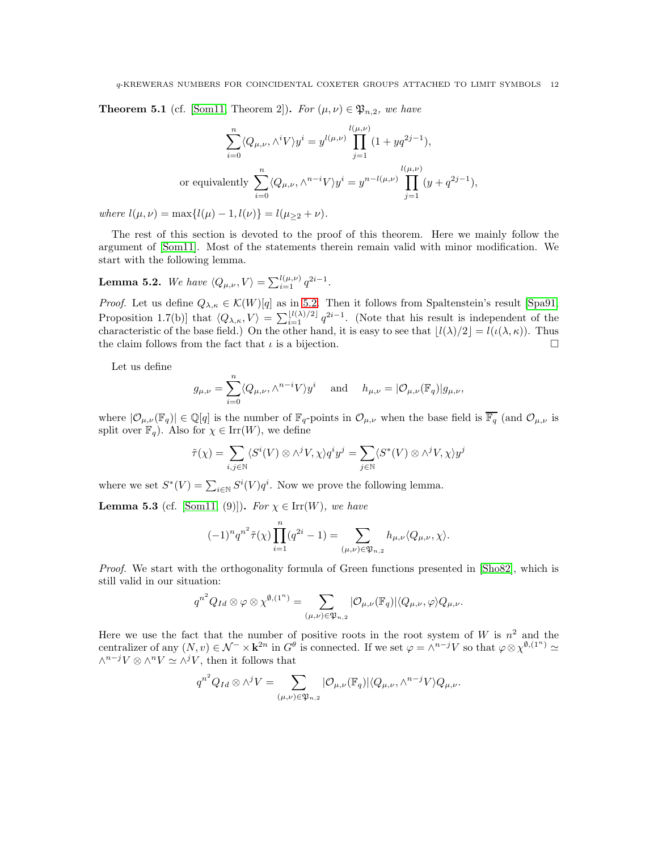<span id="page-11-0"></span>**Theorem 5.1** (cf. [\[Som11,](#page-24-5) Theorem 2]). For  $(\mu, \nu) \in \mathfrak{P}_{n,2}$ , we have

$$
\sum_{i=0}^{n} \langle Q_{\mu,\nu}, \wedge^{i} V \rangle y^{i} = y^{l(\mu,\nu)} \prod_{j=1}^{l(\mu,\nu)} (1 + yq^{2j-1}),
$$
  
or equivalently 
$$
\sum_{i=0}^{n} \langle Q_{\mu,\nu}, \wedge^{n-i} V \rangle y^{i} = y^{n-l(\mu,\nu)} \prod_{j=1}^{l(\mu,\nu)} (y + q^{2j-1}),
$$

where  $l(\mu, \nu) = \max\{l(\mu) - 1, l(\nu)\} = l(\mu_{\geq 2} + \nu).$ 

The rest of this section is devoted to the proof of this theorem. Here we mainly follow the argument of [\[Som11\]](#page-24-5). Most of the statements therein remain valid with minor modification. We start with the following lemma.

<span id="page-11-2"></span>**Lemma 5.2.** We have  $\langle Q_{\mu,\nu}, V \rangle = \sum_{i=1}^{l(\mu,\nu)} q^{2i-1}$ .

*Proof.* Let us define  $Q_{\lambda,\kappa} \in \mathcal{K}(W)[q]$  as in [5.2.](#page-10-0) Then it follows from Spaltenstein's result [\[Spa91,](#page-24-22) Proposition 1.7(b)] that  $\langle Q_{\lambda,\kappa}, V \rangle = \sum_{i=1}^{\lfloor l(\lambda)/2 \rfloor} q^{2i-1}$ . (Note that his result is independent of the characteristic of the base field.) On the other hand, it is easy to see that  $\lfloor l(\lambda)/2 \rfloor = l(\iota(\lambda,\kappa))$ . Thus the claim follows from the fact that  $\iota$  is a bijection.

Let us define

$$
g_{\mu,\nu} = \sum_{i=0}^n \langle Q_{\mu,\nu}, \wedge^{n-i} V \rangle y^i \quad \text{ and } \quad h_{\mu,\nu} = |\mathcal{O}_{\mu,\nu}(\mathbb{F}_q)| g_{\mu,\nu},
$$

where  $|\mathcal{O}_{\mu,\nu}(\mathbb{F}_q)| \in \mathbb{Q}[q]$  is the number of  $\mathbb{F}_q$ -points in  $\mathcal{O}_{\mu,\nu}$  when the base field is  $\overline{\mathbb{F}_q}$  (and  $\mathcal{O}_{\mu,\nu}$  is split over  $\mathbb{F}_q$ . Also for  $\chi \in \text{Irr}(W)$ , we define

$$
\tilde{\tau}(\chi) = \sum_{i,j \in \mathbb{N}} \langle S^i(V) \otimes \wedge^j V, \chi \rangle q^i y^j = \sum_{j \in \mathbb{N}} \langle S^*(V) \otimes \wedge^j V, \chi \rangle y^j
$$

where we set  $S^*(V) = \sum_{i \in \mathbb{N}} S^i(V) q^i$ . Now we prove the following lemma.

<span id="page-11-1"></span>**Lemma 5.3** (cf. [\[Som11,](#page-24-5) (9)]). For  $\chi \in \text{Irr}(W)$ , we have

$$
(-1)^n q^{n^2} \tilde{\tau}(\chi) \prod_{i=1}^n (q^{2i} - 1) = \sum_{(\mu,\nu) \in \mathfrak{P}_{n,2}} h_{\mu,\nu} \langle Q_{\mu,\nu}, \chi \rangle.
$$

Proof. We start with the orthogonality formula of Green functions presented in [\[Sho82\]](#page-24-23), which is still valid in our situation:

$$
q^{n^2}Q_{Id}\otimes \varphi \otimes \chi^{\emptyset,(1^n)}=\sum_{(\mu,\nu)\in \mathfrak{P}_{n,2}}|\mathcal{O}_{\mu,\nu}(\mathbb{F}_q)|\langle Q_{\mu,\nu},\varphi\rangle Q_{\mu,\nu}.
$$

Here we use the fact that the number of positive roots in the root system of W is  $n^2$  and the centralizer of any  $(N, v) \in \mathcal{N}^- \times \mathbf{k}^{2n}$  in  $G^{\theta}$  is connected. If we set  $\varphi = \wedge^{n-j}V$  so that  $\varphi \otimes \chi^{\emptyset, (1^n)} \simeq$  $\wedge^{n-j}V \otimes \wedge^nV \simeq \wedge^jV$ , then it follows that

$$
q^{n^2}Q_{Id}\otimes \wedge^j V=\sum_{(\mu,\nu)\in \mathfrak{P}_{n,2}}|\mathcal{O}_{\mu,\nu}(\mathbb{F}_q)|\langle Q_{\mu,\nu},\wedge^{n-j}V\rangle Q_{\mu,\nu}.
$$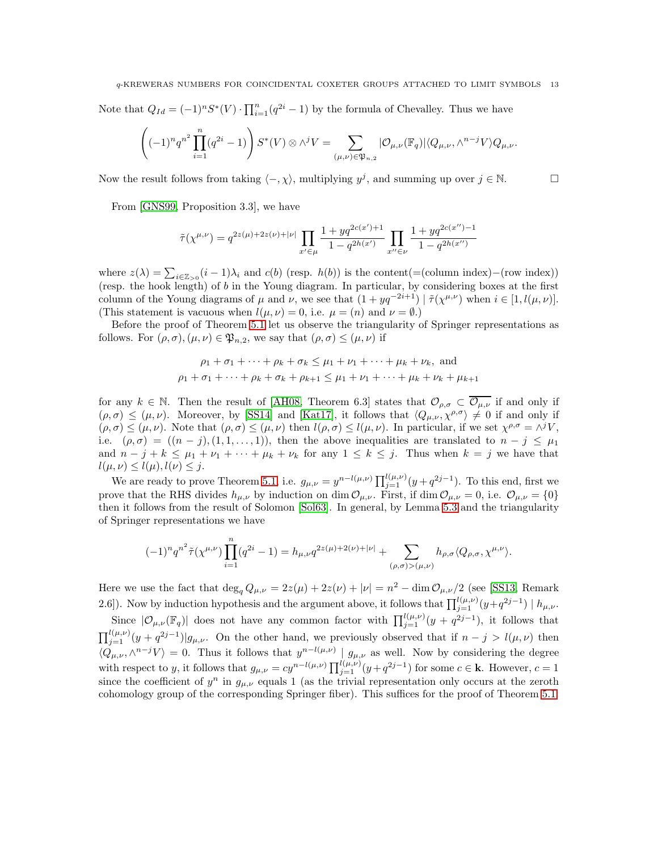Note that  $Q_{Id} = (-1)^n S^*(V) \cdot \prod_{i=1}^n (q^{2i} - 1)$  by the formula of Chevalley. Thus we have

$$
\left((-1)^n q^{n^2} \prod_{i=1}^n (q^{2i} - 1) \right) S^*(V) \otimes \wedge^j V = \sum_{(\mu,\nu) \in \mathfrak{P}_{n,2}} |\mathcal{O}_{\mu,\nu}(\mathbb{F}_q)| \langle Q_{\mu,\nu}, \wedge^{n-j} V \rangle Q_{\mu,\nu}.
$$

Now the result follows from taking  $\langle -, \chi \rangle$ , multiplying  $y^j$ , and summing up over  $j \in \mathbb{N}$ .

From [\[GNS99,](#page-24-24) Proposition 3.3], we have

$$
\tilde{\tau}(\chi^{\mu,\nu}) = q^{2z(\mu) + 2z(\nu) + |\nu|} \prod_{x' \in \mu} \frac{1 + yq^{2c(x')+1}}{1 - q^{2h(x')}} \prod_{x'' \in \nu} \frac{1 + yq^{2c(x'')-1}}{1 - q^{2h(x'')}}
$$

where  $z(\lambda) = \sum_{i \in \mathbb{Z}_{>0}} (i-1)\lambda_i$  and  $c(b)$  (resp.  $h(b)$ ) is the content(=(column index)–(row index)) (resp. the hook length) of  $b$  in the Young diagram. In particular, by considering boxes at the first column of the Young diagrams of  $\mu$  and  $\nu$ , we see that  $(1 + yq^{-2i+1}) | \tilde{\tau}(\chi^{\mu,\nu})$  when  $i \in [1, l(\mu, \nu)]$ . (This statement is vacuous when  $l(\mu, \nu) = 0$ , i.e.  $\mu = (n)$  and  $\nu = \emptyset$ .)

Before the proof of Theorem [5.1](#page-11-0) let us observe the triangularity of Springer representations as follows. For  $(\rho, \sigma)$ ,  $(\mu, \nu) \in \mathfrak{P}_{n,2}$ , we say that  $(\rho, \sigma) \leq (\mu, \nu)$  if

$$
\rho_1 + \sigma_1 + \dots + \rho_k + \sigma_k \le \mu_1 + \nu_1 + \dots + \mu_k + \nu_k
$$
, and  
\n $\rho_1 + \sigma_1 + \dots + \rho_k + \sigma_k + \rho_{k+1} \le \mu_1 + \nu_1 + \dots + \mu_k + \nu_k + \mu_{k+1}$ 

for any  $k \in \mathbb{N}$ . Then the result of [\[AH08,](#page-23-2) Theorem 6.3] states that  $\mathcal{O}_{\rho,\sigma} \subset \overline{\mathcal{O}_{\mu,\nu}}$  if and only if  $(\rho, \sigma) \leq (\mu, \nu)$ . Moreover, by [\[SS14\]](#page-24-25) and [\[Kat17\]](#page-24-26), it follows that  $\langle Q_{\mu,\nu}, \chi^{\rho,\sigma} \rangle \neq 0$  if and only if  $(\rho, \sigma) \leq (\mu, \nu)$ . Note that  $(\rho, \sigma) \leq (\mu, \nu)$  then  $l(\rho, \sigma) \leq l(\mu, \nu)$ . In particular, if we set  $\chi^{\rho, \sigma} = \wedge^{j} V$ , i.e.  $(\rho, \sigma) = ((n - j), (1, 1, \ldots, 1)),$  then the above inequalities are translated to  $n - j \leq \mu_1$ and  $n - j + k \leq \mu_1 + \nu_1 + \cdots + \mu_k + \nu_k$  for any  $1 \leq k \leq j$ . Thus when  $k = j$  we have that  $l(\mu, \nu) \leq l(\mu), l(\nu) \leq j.$ 

We are ready to prove Theorem [5.1,](#page-11-0) i.e.  $g_{\mu,\nu} = y^{n-l(\mu,\nu)} \prod_{j=1}^{l(\mu,\nu)} (y+q^{2j-1})$ . To this end, first we prove that the RHS divides  $h_{\mu,\nu}$  by induction on dim  $\mathcal{O}_{\mu,\nu}$ . First, if dim  $\mathcal{O}_{\mu,\nu} = 0$ , i.e.  $\mathcal{O}_{\mu,\nu} = \{0\}$ then it follows from the result of Solomon [\[Sol63\]](#page-24-27). In general, by Lemma [5.3](#page-11-1) and the triangularity of Springer representations we have

$$
(-1)^n q^{n^2} \tilde{\tau}(\chi^{\mu,\nu}) \prod_{i=1}^n (q^{2i} - 1) = h_{\mu,\nu} q^{2z(\mu) + 2(\nu) + |\nu|} + \sum_{(\rho,\sigma) > (\mu,\nu)} h_{\rho,\sigma} \langle Q_{\rho,\sigma}, \chi^{\mu,\nu} \rangle.
$$

Here we use the fact that  $\deg_q Q_{\mu,\nu} = 2z(\mu) + 2z(\nu) + |\nu| = n^2 - \dim \mathcal{O}_{\mu,\nu}/2$  (see [\[SS13,](#page-24-17) Remark 2.6]). Now by induction hypothesis and the argument above, it follows that  $\prod_{j=1}^{l(\mu,\nu)}(y+q^{2j-1}) \mid h_{\mu,\nu}$ .

Since  $|\mathcal{O}_{\mu,\nu}(\mathbb{F}_q)|$  does not have any common factor with  $\prod_{j=1}^{l(\mu,\nu)}(y+q^{2j-1})$ , it follows that  $\prod_{j=1}^{l(\mu,\nu)}(y+q^{2j-1})|g_{\mu,\nu}$ . On the other hand, we previously observed that if  $n-j > l(\mu,\nu)$  then  $\langle Q_{\mu,\nu}, \wedge^{n-j}V \rangle = 0$ . Thus it follows that  $y^{n-l(\mu,\nu)} \mid g_{\mu,\nu}$  as well. Now by considering the degree with respect to y, it follows that  $g_{\mu,\nu} = cy^{n-l(\mu,\nu)} \prod_{j=1}^{l(\mu,\nu)} (y+q^{2j-1})$  for some  $c \in \mathbf{k}$ . However,  $c = 1$ since the coefficient of  $y^n$  in  $g_{\mu,\nu}$  equals 1 (as the trivial representation only occurs at the zeroth cohomology group of the corresponding Springer fiber). This suffices for the proof of Theorem [5.1.](#page-11-0)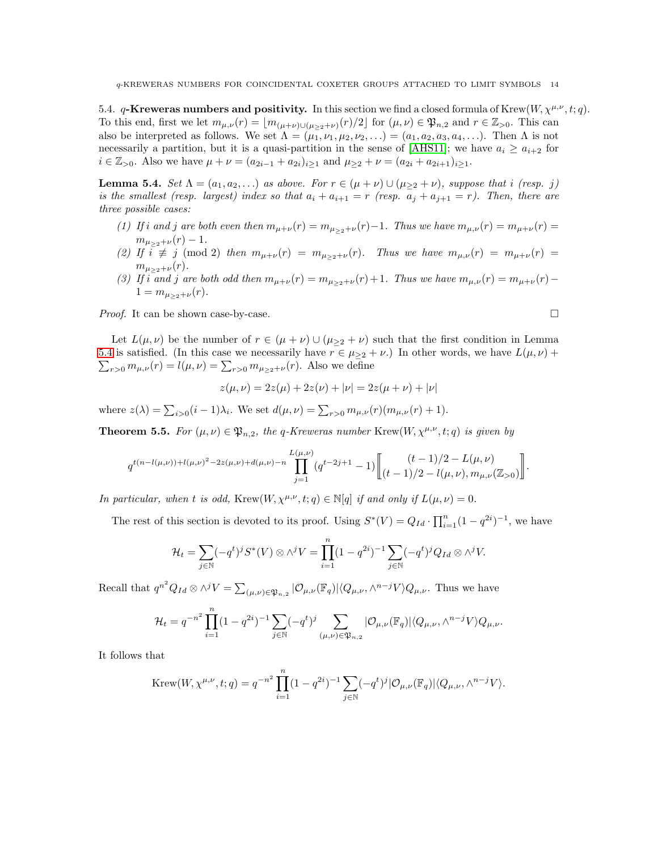<span id="page-13-1"></span>5.4. q-Kreweras numbers and positivity. In this section we find a closed formula of Krew $(W, \chi^{\mu,\nu}, t; q)$ . To this end, first we let  $m_{\mu,\nu}(r) = \lfloor m_{(\mu+\nu)\cup(\mu>2+\nu)}(r)/2 \rfloor$  for  $(\mu,\nu) \in \mathfrak{P}_{n,2}$  and  $r \in \mathbb{Z}_{>0}$ . This can also be interpreted as follows. We set  $\Lambda = (\mu_1, \nu_1, \mu_2, \nu_2, \ldots) = (a_1, a_2, a_3, a_4, \ldots)$ . Then  $\Lambda$  is not necessarily a partition, but it is a quasi-partition in the sense of [\[AHS11\]](#page-24-28); we have  $a_i \ge a_{i+2}$  for  $i \in \mathbb{Z}_{>0}$ . Also we have  $\mu + \nu = (a_{2i-1} + a_{2i})_{i \geq 1}$  and  $\mu_{\geq 2} + \nu = (a_{2i} + a_{2i+1})_{i \geq 1}$ .

<span id="page-13-0"></span>**Lemma 5.4.** Set  $\Lambda = (a_1, a_2, \ldots)$  as above. For  $r \in (\mu + \nu) \cup (\mu_{\geq 2} + \nu)$ , suppose that i (resp. j) is the smallest (resp. largest) index so that  $a_i + a_{i+1} = r$  (resp.  $a_j + a_{j+1} = r$ ). Then, there are three possible cases:

- (1) If i and j are both even then  $m_{\mu+\nu}(r) = m_{\mu>2+\nu}(r) 1$ . Thus we have  $m_{\mu,\nu}(r) = m_{\mu+\nu}(r) =$  $m_{\mu>2+\nu}(r) - 1.$
- (2) If  $i \neq j \pmod{2}$  then  $m_{\mu+\nu}(r) = m_{\mu>2}+\nu(r)$ . Thus we have  $m_{\mu,\nu}(r) = m_{\mu+\nu}(r)$  $m_{\mu_{\geq 2}+\nu}(r)$ .
- (3) If i and j are both odd then  $m_{\mu+\nu}(r) = m_{\mu>2+\nu}(r) + 1$ . Thus we have  $m_{\mu,\nu}(r) = m_{\mu+\nu}(r) 1 = m_{\mu > 2} + \nu(r)$ .

Proof. It can be shown case-by-case.

Let 
$$
L(\mu, \nu)
$$
 be the number of  $r \in (\mu + \nu) \cup (\mu_{\geq 2} + \nu)$  such that the first condition in Lemma 5.4 is satisfied. (In this case we necessarily have  $r \in \mu_{\geq 2} + \nu$ .) In other words, we have  $L(\mu, \nu) + \sum_{r>0} m_{\mu,\nu}(r) = l(\mu, \nu) = \sum_{r>0} m_{\mu_{\geq 2} + \nu}(r)$ . Also we define

$$
z(\mu, \nu) = 2z(\mu) + 2z(\nu) + |\nu| = 2z(\mu + \nu) + |\nu|
$$

where  $z(\lambda) = \sum_{i>0} (i-1)\lambda_i$ . We set  $d(\mu, \nu) = \sum_{r>0} m_{\mu, \nu}(r)(m_{\mu, \nu}(r) + 1)$ .

<span id="page-13-2"></span>**Theorem 5.5.** For  $(\mu, \nu) \in \mathfrak{P}_{n,2}$ , the q-Kreweras number Krew $(W, \chi^{\mu,\nu}, t; q)$  is given by

$$
q^{t(n-l(\mu,\nu))+l(\mu,\nu)^2-2z(\mu,\nu)+d(\mu,\nu)-n}\prod_{j=1}^{L(\mu,\nu)}(q^{t-2j+1}-1)\left[\binom{(t-1)/2-L(\mu,\nu)}{(t-1)/2-l(\mu,\nu),m_{\mu,\nu}(\mathbb{Z}_{>0})}\right].
$$

In particular, when t is odd, Krew $(W, \chi^{\mu,\nu}, t; q) \in \mathbb{N}[q]$  if and only if  $L(\mu, \nu) = 0$ .

The rest of this section is devoted to its proof. Using  $S^*(V) = Q_{Id} \cdot \prod_{i=1}^n (1 - q^{2i})^{-1}$ , we have

$$
\mathcal{H}_t = \sum_{j \in \mathbb{N}} (-q^t)^j S^*(V) \otimes \wedge^j V = \prod_{i=1}^n (1 - q^{2i})^{-1} \sum_{j \in \mathbb{N}} (-q^t)^j Q_{Id} \otimes \wedge^j V.
$$

Recall that  $q^{n^2}Q_{Id}\otimes \wedge^j V=\sum_{(\mu,\nu)\in \mathfrak{P}_{n,2}}|\mathcal{O}_{\mu,\nu}(\mathbb{F}_q)|\langle Q_{\mu,\nu},\wedge^{n-j}V\rangle Q_{\mu,\nu}$ . Thus we have

$$
\mathcal{H}_t = q^{-n^2} \prod_{i=1}^n (1 - q^{2i})^{-1} \sum_{j \in \mathbb{N}} (-q^t)^j \sum_{(\mu,\nu) \in \mathfrak{P}_{n,2}} |\mathcal{O}_{\mu,\nu}(\mathbb{F}_q)| \langle Q_{\mu,\nu}, \wedge^{n-j} V \rangle Q_{\mu,\nu}.
$$

It follows that

Krew
$$
(W, \chi^{\mu,\nu}, t; q) = q^{-n^2} \prod_{i=1}^n (1 - q^{2i})^{-1} \sum_{j \in \mathbb{N}} (-q^t)^j |\mathcal{O}_{\mu,\nu}(\mathbb{F}_q)| \langle Q_{\mu,\nu}, \wedge^{n-j} V \rangle
$$
.

$$
\Box
$$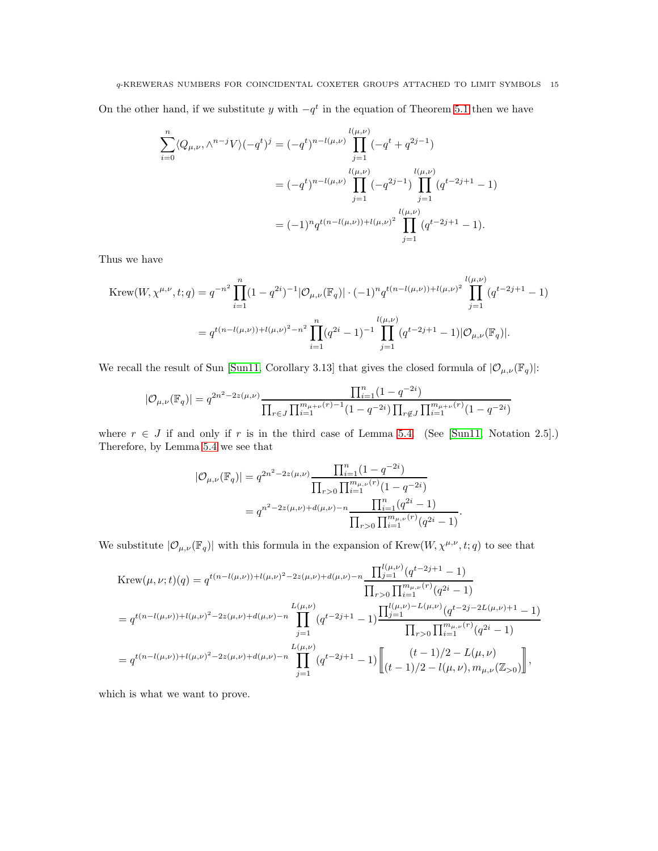On the other hand, if we substitute y with  $-q<sup>t</sup>$  in the equation of Theorem [5.1](#page-11-0) then we have

$$
\sum_{i=0}^{n} \langle Q_{\mu,\nu}, \wedge^{n-j} V \rangle (-q^t)^j = (-q^t)^{n-l(\mu,\nu)} \prod_{j=1}^{l(\mu,\nu)} (-q^t + q^{2j-1})
$$
  

$$
= (-q^t)^{n-l(\mu,\nu)} \prod_{j=1}^{l(\mu,\nu)} (-q^{2j-1}) \prod_{j=1}^{l(\mu,\nu)} (q^{t-2j+1} - 1)
$$
  

$$
= (-1)^n q^{t(n-l(\mu,\nu))+l(\mu,\nu)^2} \prod_{j=1}^{l(\mu,\nu)} (q^{t-2j+1} - 1).
$$

Thus we have

$$
\begin{split} \text{Krew}(W, \chi^{\mu,\nu}, t; q) &= q^{-n^2} \prod_{i=1}^n (1 - q^{2i})^{-1} |\mathcal{O}_{\mu,\nu}(\mathbb{F}_q)| \cdot (-1)^n q^{t(n - l(\mu,\nu)) + l(\mu,\nu)^2} \prod_{j=1}^{l(\mu,\nu)} (q^{t - 2j + 1} - 1) \\ &= q^{t(n - l(\mu,\nu)) + l(\mu,\nu)^2 - n^2} \prod_{i=1}^n (q^{2i} - 1)^{-1} \prod_{j=1}^{l(\mu,\nu)} (q^{t - 2j + 1} - 1) |\mathcal{O}_{\mu,\nu}(\mathbb{F}_q)|. \end{split}
$$

We recall the result of Sun [\[Sun11,](#page-24-29) Corollary 3.13] that gives the closed formula of  $|\mathcal{O}_{\mu,\nu}(\mathbb{F}_q)|$ :

$$
|\mathcal{O}_{\mu,\nu}(\mathbb{F}_q)| = q^{2n^2 - 2z(\mu,\nu)} \frac{\prod_{i=1}^n (1 - q^{-2i})}{\prod_{r \in J} \prod_{i=1}^{m_{\mu+\nu}(r)-1} (1 - q^{-2i}) \prod_{r \notin J} \prod_{i=1}^{m_{\mu+\nu}(r)} (1 - q^{-2i})}
$$

where  $r \in J$  if and only if r is in the third case of Lemma [5.4.](#page-13-0) (See [\[Sun11,](#page-24-29) Notation 2.5].) Therefore, by Lemma [5.4](#page-13-0) we see that

$$
|\mathcal{O}_{\mu,\nu}(\mathbb{F}_q)| = q^{2n^2 - 2z(\mu,\nu)} \frac{\prod_{i=1}^n (1 - q^{-2i})}{\prod_{r>0} \prod_{i=1}^{m_{\mu,\nu}(r)} (1 - q^{-2i})}
$$
  
=  $q^{n^2 - 2z(\mu,\nu) + d(\mu,\nu) - n} \frac{\prod_{i=1}^n (q^{2i} - 1)}{\prod_{r>0} \prod_{i=1}^{m_{\mu,\nu}(r)} (q^{2i} - 1)}.$ 

We substitute  $|\mathcal{O}_{\mu,\nu}(\mathbb{F}_q)|$  with this formula in the expansion of  $Krew(W, \chi^{\mu,\nu}, t; q)$  to see that

$$
\begin{split}\n\text{Krew}(\mu,\nu;t)(q) &= q^{t(n-l(\mu,\nu))+l(\mu,\nu)^2 - 2z(\mu,\nu)+d(\mu,\nu)-n} \frac{\prod_{j=1}^{l(\mu,\nu)} (q^{t-2j+1}-1)}{\prod_{r>0} \prod_{i=1}^{m_{\mu,\nu}(r)} (q^{2i}-1)} \\
&= q^{t(n-l(\mu,\nu))+l(\mu,\nu)^2 - 2z(\mu,\nu)+d(\mu,\nu)-n} \prod_{j=1}^{L(\mu,\nu)} (q^{t-2j+1}-1) \frac{\prod_{j=1}^{l(\mu,\nu)-L(\mu,\nu)} (q^{t-2j-2L(\mu,\nu)+1}-1)}{\prod_{r>0} \prod_{i=1}^{m_{\mu,\nu}(r)} (q^{2i}-1)} \\
&= q^{t(n-l(\mu,\nu))+l(\mu,\nu)^2 - 2z(\mu,\nu)+d(\mu,\nu)-n} \prod_{j=1}^{L(\mu,\nu)} (q^{t-2j+1}-1) \left[ \frac{(t-1)/2 - L(\mu,\nu)}{(t-1)/2 - l(\mu,\nu), m_{\mu,\nu}(\mathbb{Z}_{>0})} \right],\n\end{split}
$$

which is what we want to prove.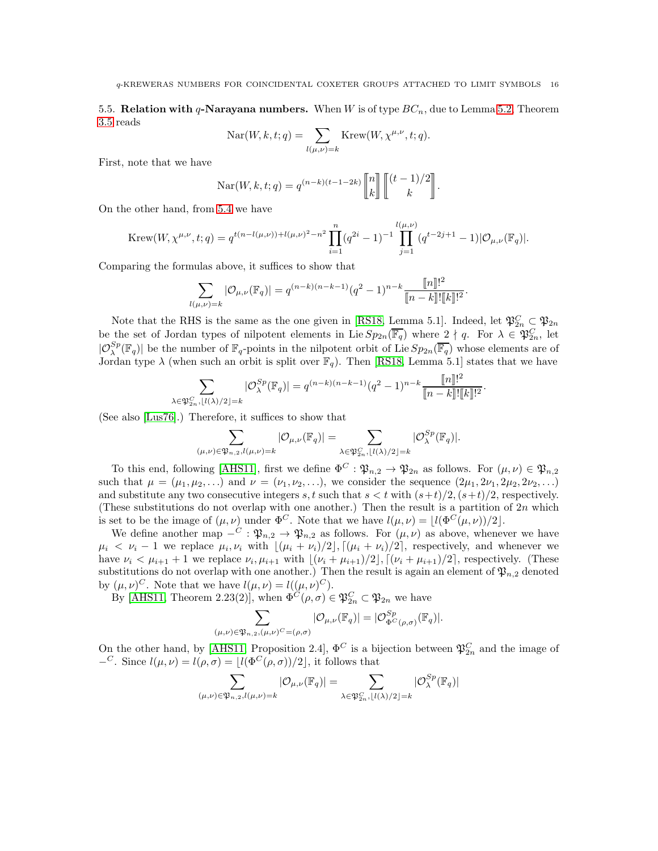5.5. Relation with q-Narayana numbers. When W is of type  $BC_n$ , due to Lemma [5.2,](#page-11-2) Theorem [3.5](#page-7-1) reads

$$
Nar(W, k, t; q) = \sum_{l(\mu, \nu) = k} \text{Krew}(W, \chi^{\mu, \nu}, t; q).
$$

First, note that we have

$$
\operatorname{Nar}(W, k, t; q) = q^{(n-k)(t-1-2k)} \begin{bmatrix} n \\ k \end{bmatrix} \begin{bmatrix} (t-1)/2 \\ k \end{bmatrix}.
$$

On the other hand, from [5.4](#page-13-1) we have

Krew
$$
(W, \chi^{\mu,\nu}, t; q) = q^{t(n-l(\mu,\nu))+l(\mu,\nu)^2 - n^2} \prod_{i=1}^n (q^{2i} - 1)^{-1} \prod_{j=1}^{l(\mu,\nu)} (q^{t-2j+1} - 1) |\mathcal{O}_{\mu,\nu}(\mathbb{F}_q)|.
$$

Comparing the formulas above, it suffices to show that

$$
\sum_{l(\mu,\nu)=k} |\mathcal{O}_{\mu,\nu}(\mathbb{F}_q)| = q^{(n-k)(n-k-1)}(q^2-1)^{n-k} \frac{\llbracket n \rrbracket!^2}{\llbracket n-k \rrbracket! \llbracket k \rrbracket!^2}.
$$

Note that the RHS is the same as the one given in [\[RS18,](#page-24-3) Lemma 5.1]. Indeed, let  $\mathfrak{P}_{2n}^C \subset \mathfrak{P}_{2n}$ be the set of Jordan types of nilpotent elements in Lie  $Sp_{2n}(\overline{\mathbb{F}_q})$  where  $2 \nmid q$ . For  $\lambda \in \mathfrak{P}_{2n}^C$ , let  $|\mathcal{O}_{\lambda}^{Sp}(\mathbb{F}_q)|$  be the number of  $\mathbb{F}_q$ -points in the nilpotent orbit of Lie  $Sp_{2n}(\overline{\mathbb{F}_q})$  whose elements are of Jordan type  $\lambda$  (when such an orbit is split over  $\mathbb{F}_q$ ). Then [\[RS18,](#page-24-3) Lemma 5.1] states that we have

$$
\sum_{\lambda \in \mathfrak{P}_{2n}^C, \lfloor l(\lambda)/2 \rfloor = k} |\mathcal{O}^{Sp}_{\lambda}(\mathbb{F}_q)| = q^{(n-k)(n-k-1)} (q^2 - 1)^{n-k} \frac{[\![n]\!]!^2}{[\![n-k]\!]! [\![k]\!]!^2}.
$$

(See also [\[Lus76\]](#page-24-30).) Therefore, it suffices to show that

$$
\sum_{(\mu,\nu)\in \mathfrak{P}_{n,2}, l(\mu,\nu)=k} |\mathcal{O}_{\mu,\nu}(\mathbb{F}_q)| = \sum_{\lambda\in \mathfrak{P}_{2n}^C, \lfloor l(\lambda)/2\rfloor=k} |\mathcal{O}_{\lambda}^{Sp}(\mathbb{F}_q)|.
$$

To this end, following [\[AHS11\]](#page-24-28), first we define  $\Phi^C : \mathfrak{P}_{n,2} \to \mathfrak{P}_{2n}$  as follows. For  $(\mu, \nu) \in \mathfrak{P}_{n,2}$ such that  $\mu = (\mu_1, \mu_2, \ldots)$  and  $\nu = (\nu_1, \nu_2, \ldots)$ , we consider the sequence  $(2\mu_1, 2\nu_1, 2\mu_2, 2\nu_2, \ldots)$ and substitute any two consecutive integers s, t such that  $s < t$  with  $(s+t)/2$ ,  $(s+t)/2$ , respectively. (These substitutions do not overlap with one another.) Then the result is a partition of  $2n$  which is set to be the image of  $(\mu, \nu)$  under  $\Phi^C$ . Note that we have  $l(\mu, \nu) = |l(\Phi^C(\mu, \nu))/2|$ .

We define another map  $-\tilde{C}: \mathfrak{P}_{n,2} \to \mathfrak{P}_{n,2}$  as follows. For  $(\mu, \nu)$  as above, whenever we have  $\mu_i \langle \nu_i - 1 \rangle$  we replace  $\mu_i, \nu_i$  with  $\lfloor (\mu_i + \nu_i)/2 \rfloor, \lceil (\mu_i + \nu_i)/2 \rceil$ , respectively, and whenever we have  $\nu_i < \mu_{i+1} + 1$  we replace  $\nu_i, \mu_{i+1}$  with  $\lfloor (\nu_i + \mu_{i+1})/2 \rfloor, \lceil (\nu_i + \mu_{i+1})/2 \rceil$ , respectively. (These substitutions do not overlap with one another.) Then the result is again an element of  $\mathfrak{P}_{n,2}$  denoted by  $(\mu, \nu)^C$ . Note that we have  $l(\mu, \nu) = l((\mu, \nu)^C)$ .

By [\[AHS11,](#page-24-28) Theorem 2.23(2)], when  $\Phi^C(\rho, \sigma) \in \mathfrak{P}_{2n}^C \subset \mathfrak{P}_{2n}$  we have

$$
\sum_{(\mu,\nu)\in \mathfrak{P}_{n,2}, (\mu,\nu)^C=(\rho,\sigma)} |\mathcal{O}_{\mu,\nu}(\mathbb{F}_q)|=|\mathcal{O}_{\Phi^C(\rho,\sigma)}^{Sp}(\mathbb{F}_q)|.
$$

On the other hand, by [\[AHS11,](#page-24-28) Proposition 2.4],  $\Phi^C$  is a bijection between  $\mathfrak{P}_{2n}^C$  and the image of  $-C$ . Since  $l(\mu, \nu) = l(\rho, \sigma) = \lfloor l(\Phi^C(\rho, \sigma))/2 \rfloor$ , it follows that

$$
\sum_{(\mu,\nu)\in \mathfrak{P}_{n,2}, l(\mu,\nu)=k} |\mathcal{O}_{\mu,\nu}(\mathbb{F}_q)| = \sum_{\lambda\in \mathfrak{P}_{2n}^C, \, |l(\lambda)/2|=k} |\mathcal{O}_{\lambda}^{Sp}(\mathbb{F}_q)|
$$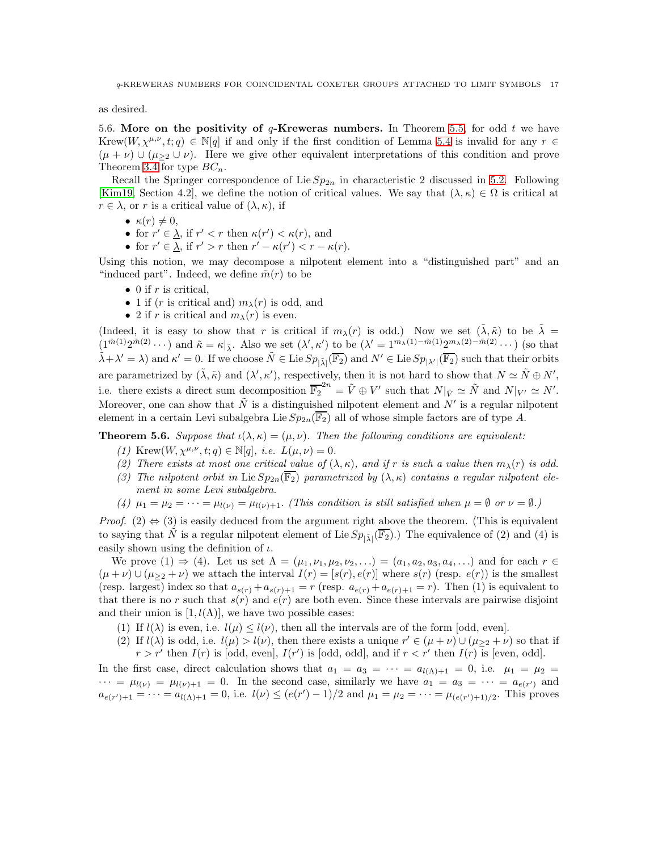<span id="page-16-1"></span>as desired.

5.6. More on the positivity of  $q$ -Kreweras numbers. In Theorem [5.5,](#page-13-2) for odd t we have Krew $(W, \chi^{\mu,\nu}, t; q) \in \mathbb{N}[q]$  if and only if the first condition of Lemma [5.4](#page-13-0) is invalid for any  $r \in$  $(\mu + \nu) \cup (\mu_{\geq 2} \cup \nu)$ . Here we give other equivalent interpretations of this condition and prove Theorem [3.4](#page-7-0) for type  $BC_n$ .

Recall the Springer correspondence of Lie  $Sp_{2n}$  in characteristic 2 discussed in [5.2.](#page-10-0) Following [\[Kim19,](#page-24-21) Section 4.2], we define the notion of critical values. We say that  $(\lambda, \kappa) \in \Omega$  is critical at  $r \in \lambda$ , or r is a critical value of  $(\lambda, \kappa)$ , if

- $\kappa(r) \neq 0$ ,
- for  $r' \in \underline{\lambda}$ , if  $r' < r$  then  $\kappa(r') < \kappa(r)$ , and
- for  $r' \in \underline{\lambda}$ , if  $r' > r$  then  $r' \kappa(r') < r \kappa(r)$ .

Using this notion, we may decompose a nilpotent element into a "distinguished part" and an "induced part". Indeed, we define  $\tilde{m}(r)$  to be

- 0 if  $r$  is critical,
- 1 if (r is critical and)  $m_{\lambda}(r)$  is odd, and
- 2 if r is critical and  $m_{\lambda}(r)$  is even.

(Indeed, it is easy to show that r is critical if  $m_\lambda(r)$  is odd.) Now we set  $(\tilde{\lambda}, \tilde{\kappa})$  to be  $\tilde{\lambda} =$  $(1^{\tilde{m}(1)}2^{\tilde{m}(2)}\cdots)$  and  $\tilde{\kappa} = \kappa|_{\tilde{\lambda}}$ . Also we set  $(\lambda', \kappa')$  to be  $(\lambda' = 1^{m_{\lambda}(1)}-\tilde{m}(1)2^{m_{\lambda}(2)}-\tilde{m}(2) \cdots)$  (so that  $(\tilde{\lambda} + \lambda' = \lambda)$  and  $\kappa' = 0$ . If we choose  $\tilde{N} \in \text{Lie } Sp_{|\tilde{\lambda}|}(\overline{\mathbb{F}_2})$  and  $N' \in \text{Lie }Sp_{|\lambda'|}(\overline{\mathbb{F}_2})$  such that their orbits are parametrized by  $(\tilde{\lambda}, \tilde{\kappa})$  and  $(\lambda', \kappa')$ , respectively, then it is not hard to show that  $N \simeq \tilde{N} \oplus N'$ , i.e. there exists a direct sum decomposition  $\overline{\mathbb{F}_2}^{2n} = \tilde{V} \oplus V'$  such that  $N|_{\tilde{V}} \simeq \tilde{N}$  and  $N|_{V'} \simeq N'$ . Moreover, one can show that  $\tilde{N}$  is a distinguished nilpotent element and  $N'$  is a regular nilpotent element in a certain Levi subalgebra Lie  $Sp_{2n}(\overline{\mathbb{F}_2})$  all of whose simple factors are of type A.

<span id="page-16-0"></span>**Theorem 5.6.** Suppose that  $\iota(\lambda, \kappa) = (\mu, \nu)$ . Then the following conditions are equivalent:

- (1) Krew $(W, \chi^{\mu,\nu}, t; q) \in \mathbb{N}[q]$ , *i.e.*  $L(\mu, \nu) = 0$ .
- (2) There exists at most one critical value of  $(\lambda, \kappa)$ , and if r is such a value then  $m_{\lambda}(r)$  is odd.
- (3) The nilpotent orbit in Lie  $Sp_{2n}(\overline{\mathbb{F}_2})$  parametrized by  $(\lambda, \kappa)$  contains a regular nilpotent element in some Levi subalgebra.
- (4)  $\mu_1 = \mu_2 = \cdots = \mu_{l(\nu)} = \mu_{l(\nu)+1}$ . (This condition is still satisfied when  $\mu = \emptyset$  or  $\nu = \emptyset$ .)

*Proof.* (2)  $\Leftrightarrow$  (3) is easily deduced from the argument right above the theorem. (This is equivalent to saying that  $\tilde{N}$  is a regular nilpotent element of Lie  $Sp_{|\tilde{\lambda}|}(\overline{\mathbb{F}_2})$ .) The equivalence of (2) and (4) is easily shown using the definition of  $\iota$ .

We prove  $(1) \Rightarrow (4)$ . Let us set  $\Lambda = (\mu_1, \nu_1, \mu_2, \nu_2, ...) = (a_1, a_2, a_3, a_4, ...)$  and for each  $r \in$  $(\mu+\nu) \cup (\mu_{\geq 2}+\nu)$  we attach the interval  $I(r) = [s(r), e(r)]$  where  $s(r)$  (resp.  $e(r)$ ) is the smallest (resp. largest) index so that  $a_{s(r)} + a_{s(r)+1} = r$  (resp.  $a_{e(r)} + a_{e(r)+1} = r$ ). Then (1) is equivalent to that there is no r such that  $s(r)$  and  $e(r)$  are both even. Since these intervals are pairwise disjoint and their union is  $[1, l(\Lambda)]$ , we have two possible cases:

- (1) If  $l(\lambda)$  is even, i.e.  $l(\mu) \leq l(\nu)$ , then all the intervals are of the form [odd, even].
- (2) If  $l(\lambda)$  is odd, i.e.  $l(\mu) > l(\nu)$ , then there exists a unique  $r' \in (\mu + \nu) \cup (\mu_{\geq 2} + \nu)$  so that if  $r > r'$  then  $I(r)$  is [odd, even],  $I(r')$  is [odd, odd], and if  $r < r'$  then  $I(r)$  is [even, odd].

In the first case, direct calculation shows that  $a_1 = a_3 = \cdots = a_{l(\Lambda)+1} = 0$ , i.e.  $\mu_1 = \mu_2 =$  $\cdots = \mu_{l(\nu)} = \mu_{l(\nu)+1} = 0$ . In the second case, similarly we have  $a_1 = a_3 = \cdots = a_{e(r')}$  and  $a_{e(r')+1} = \cdots = a_{l(\Lambda)+1} = 0$ , i.e.  $l(\nu) \leq (e(r')-1)/2$  and  $\mu_1 = \mu_2 = \cdots = \mu_{(e(r')+1)/2}$ . This proves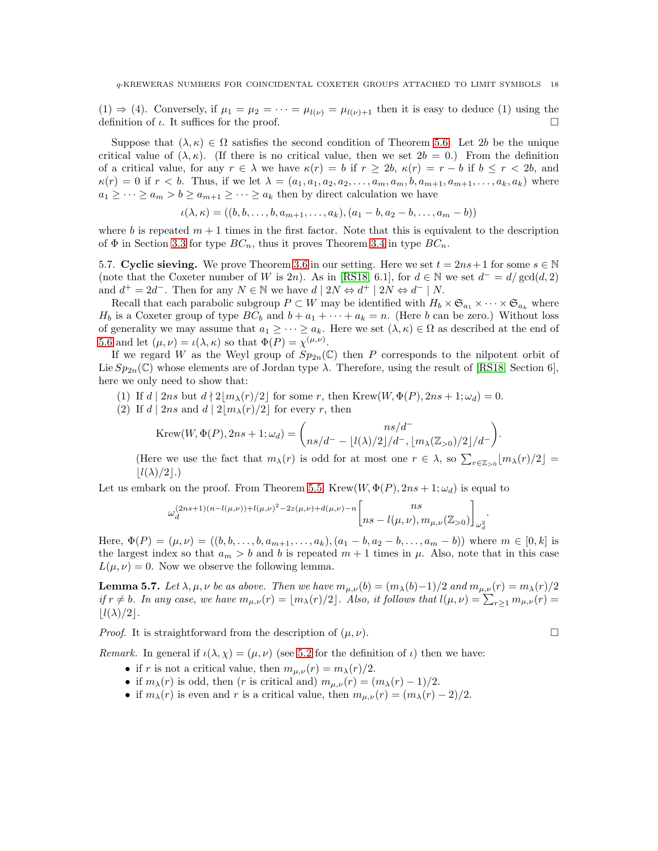$(1) \Rightarrow (4)$ . Conversely, if  $\mu_1 = \mu_2 = \cdots = \mu_{l(\nu)} = \mu_{l(\nu)+1}$  then it is easy to deduce (1) using the definition of  $\iota$ . It suffices for the proof.

Suppose that  $(\lambda, \kappa) \in \Omega$  satisfies the second condition of Theorem [5.6.](#page-16-0) Let 2b be the unique critical value of  $(\lambda, \kappa)$ . (If there is no critical value, then we set  $2b = 0$ .) From the definition of a critical value, for any  $r \in \lambda$  we have  $\kappa(r) = b$  if  $r \ge 2b$ ,  $\kappa(r) = r - b$  if  $b \le r \le 2b$ , and  $\kappa(r) = 0$  if  $r < b$ . Thus, if we let  $\lambda = (a_1, a_1, a_2, a_2, \dots, a_m, a_m, b, a_{m+1}, a_{m+1}, \dots, a_k, a_k)$  where  $a_1 \geq \cdots \geq a_m > b \geq a_{m+1} \geq \cdots \geq a_k$  then by direct calculation we have

$$
\iota(\lambda, \kappa) = ((b, b, \ldots, b, a_{m+1}, \ldots, a_k), (a_1 - b, a_2 - b, \ldots, a_m - b))
$$

where b is repeated  $m + 1$  times in the first factor. Note that this is equivalent to the description of  $\Phi$  in Section [3.3](#page-6-1) for type  $BC_n$ , thus it proves Theorem [3.4](#page-7-0) in type  $BC_n$ .

5.7. Cyclic sieving. We prove Theorem [3.6](#page-8-1) in our setting. Here we set  $t = 2ns + 1$  for some  $s \in \mathbb{N}$ (note that the Coxeter number of W is 2n). As in [\[RS18,](#page-24-3) 6.1], for  $d \in \mathbb{N}$  we set  $d^{-} = d/gcd(d, 2)$ and  $d^+ = 2d^-$ . Then for any  $N \in \mathbb{N}$  we have  $d \mid 2N \Leftrightarrow d^+ \mid 2N \Leftrightarrow d^- \mid N$ .

Recall that each parabolic subgroup  $P \subset W$  may be identified with  $H_b \times \mathfrak{S}_{a_1} \times \cdots \times \mathfrak{S}_{a_k}$  where  $H_b$  is a Coxeter group of type  $BC_b$  and  $b + a_1 + \cdots + a_k = n$ . (Here b can be zero.) Without loss of generality we may assume that  $a_1 \geq \cdots \geq a_k$ . Here we set  $(\lambda, \kappa) \in \Omega$  as described at the end of [5.6](#page-16-1) and let  $(\mu, \nu) = \iota(\lambda, \kappa)$  so that  $\Phi(P) = \chi^{(\mu, \nu)}$ .

If we regard W as the Weyl group of  $Sp_{2n}(\mathbb{C})$  then P corresponds to the nilpotent orbit of Lie  $Sp_{2n}(\mathbb{C})$  whose elements are of Jordan type  $\lambda$ . Therefore, using the result of [\[RS18,](#page-24-3) Section 6], here we only need to show that:

- (1) If  $d | 2ns$  but  $d | 2|m_{\lambda}(r)/2|$  for some r, then Krew $(W, \Phi(P), 2ns + 1; \omega_d) = 0$ .
- (2) If  $d | 2ns$  and  $d | 2 | m<sub>\lambda</sub>(r)/2|$  for every r, then

$$
\text{Krew}(W, \Phi(P), 2ns + 1; \omega_d) = {ns/d^- \over (ns/d^- - \lfloor l(\lambda)/2 \rfloor/d^-, \lfloor m_\lambda(\mathbb{Z}_{>0})/2 \rfloor/d^-)}.
$$

(Here we use the fact that  $m_\lambda(r)$  is odd for at most one  $r \in \lambda$ , so  $\sum_{r \in \mathbb{Z}_{>0}} \lfloor m_\lambda(r)/2 \rfloor =$  $|l(\lambda)/2|$ .)

Let us embark on the proof. From Theorem [5.5,](#page-13-2) Krew $(W, \Phi(P), 2ns + 1; \omega_d)$  is equal to

$$
\omega_d^{(2ns+1)(n-l(\mu,\nu))+l(\mu,\nu)^2-2z(\mu,\nu)+d(\mu,\nu)-n}{n s \brack ns-l(\mu,\nu),m_{\mu,\nu}(\mathbb{Z}_{>0})}_{\omega_d^2}.
$$

Here,  $\Phi(P) = (\mu, \nu) = ((b, b, \dots, b, a_{m+1}, \dots, a_k), (a_1 - b, a_2 - b, \dots, a_m - b))$  where  $m \in [0, k]$  is the largest index so that  $a_m > b$  and b is repeated  $m + 1$  times in  $\mu$ . Also, note that in this case  $L(\mu, \nu) = 0$ . Now we observe the following lemma.

**Lemma 5.7.** Let  $\lambda, \mu, \nu$  be as above. Then we have  $m_{\mu,\nu}(b) = (m_{\lambda}(b)-1)/2$  and  $m_{\mu,\nu}(r) = m_{\lambda}(r)/2$ if  $r \neq b$ . In any case, we have  $m_{\mu,\nu}(r) = \lfloor m_\lambda(r)/2 \rfloor$ . Also, it follows that  $l(\mu,\nu) = \sum_{r \geq 1} m_{\mu,\nu}(r) =$  $|l(\lambda)/2|$ .

*Proof.* It is straightforward from the description of  $(\mu, \nu)$ .

*Remark.* In general if  $\iota(\lambda, \chi) = (\mu, \nu)$  (see [5.2](#page-10-0) for the definition of  $\iota$ ) then we have:

- if r is not a critical value, then  $m_{\mu,\nu}(r) = m_{\lambda}(r)/2$ .
- if  $m_{\lambda}(r)$  is odd, then (r is critical and)  $m_{\mu,\nu}(r) = (m_{\lambda}(r) 1)/2$ .
- if  $m_\lambda(r)$  is even and r is a critical value, then  $m_{\mu,\nu}(r) = (m_\lambda(r) 2)/2$ .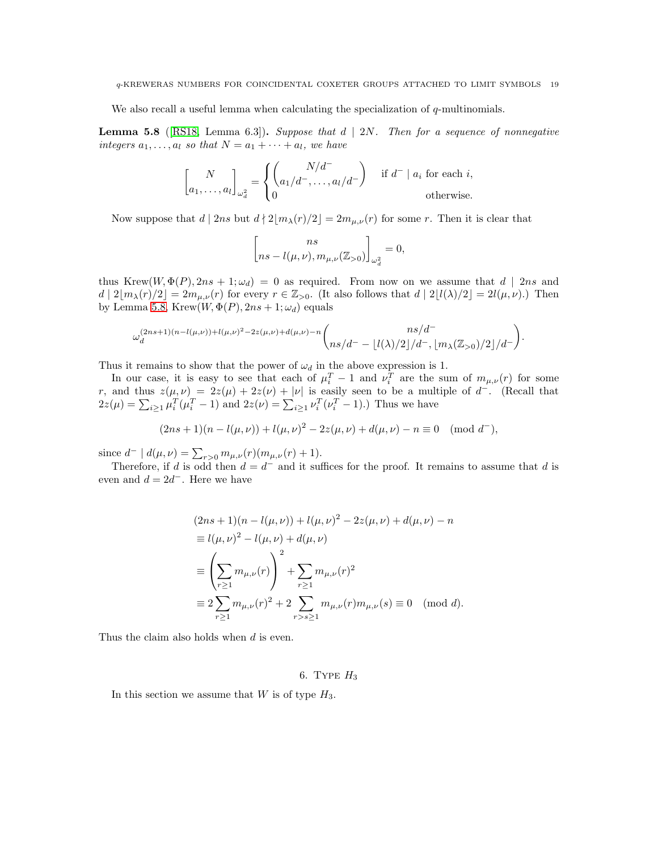We also recall a useful lemma when calculating the specialization of  $q$ -multinomials.

<span id="page-18-1"></span>**Lemma 5.8** ([\[RS18,](#page-24-3) Lemma 6.3]). Suppose that  $d | 2N$ . Then for a sequence of nonnegative integers  $a_1, \ldots, a_l$  so that  $N = a_1 + \cdots + a_l$ , we have

$$
\begin{bmatrix} N \\ a_1, \dots, a_l \end{bmatrix}_{\omega_d^2} = \begin{cases} \begin{pmatrix} N/d^- \\ a_1/d^-, \dots, a_l/d^- \end{pmatrix} & \text{if } d^- \mid a_i \text{ for each } i, \\ 0 & \text{otherwise.} \end{cases}
$$

Now suppose that  $d | 2ns$  but  $d | 2 |m_{\lambda}(r)/2| = 2m_{\mu,\nu}(r)$  for some r. Then it is clear that

$$
\begin{bmatrix} ns \\ ns - l(\mu, \nu), m_{\mu, \nu}(\mathbb{Z}_{>0}) \end{bmatrix}_{\omega_d^2} = 0,
$$

thus Krew $(W, \Phi(P), 2ns + 1; \omega_d) = 0$  as required. From now on we assume that  $d | 2ns$  and  $d | 2[m_\lambda(r)/2] = 2m_{\mu,\nu}(r)$  for every  $r \in \mathbb{Z}_{>0}$ . (It also follows that  $d | 2[l(\lambda)/2] = 2l(\mu,\nu)$ .) Then by Lemma [5.8,](#page-18-1) Krew $(W, \Phi(P), 2ns + 1; \omega_d)$  equals

$$
\omega_d^{(2ns+1)(n-l(\mu,\nu))+l(\mu,\nu)^2-2z(\mu,\nu)+d(\mu,\nu)-n}\binom{ns/d^-}{ns/d^--\lfloor l(\lambda)/2\rfloor/d^-,\lfloor m_\lambda(\mathbb{Z}_{>0})/2\rfloor/d^-}.
$$

Thus it remains to show that the power of  $\omega_d$  in the above expression is 1.

In our case, it is easy to see that each of  $\mu_i^T - 1$  and  $\nu_i^T$  are the sum of  $m_{\mu,\nu}(r)$  for some r, and thus  $z(\mu, \nu) = 2z(\mu) + 2z(\nu) + |\nu|$  is easily seen to be a multiple of  $d^-$ . (Recall that  $2z(\mu) = \sum_{i\geq 1} \mu_i^T(\mu_i^T - 1)$  and  $2z(\nu) = \sum_{i\geq 1} \nu_i^T(\nu_i^T - 1)$ .) Thus we have

$$
(2ns + 1)(n - l(\mu, \nu)) + l(\mu, \nu)^2 - 2z(\mu, \nu) + d(\mu, \nu) - n \equiv 0 \pmod{d^{\mathsf{-}}},
$$

since  $d^- | d(\mu, \nu) = \sum_{r>0} m_{\mu, \nu}(r) (m_{\mu, \nu}(r) + 1)$ .

Therefore, if d is odd then  $d = d^-$  and it suffices for the proof. It remains to assume that d is even and  $d = 2d^-$ . Here we have

$$
(2ns + 1)(n - l(\mu, \nu)) + l(\mu, \nu)^2 - 2z(\mu, \nu) + d(\mu, \nu) - n
$$
  
\n
$$
\equiv l(\mu, \nu)^2 - l(\mu, \nu) + d(\mu, \nu)
$$
  
\n
$$
\equiv \left(\sum_{r \ge 1} m_{\mu, \nu}(r)\right)^2 + \sum_{r \ge 1} m_{\mu, \nu}(r)^2
$$
  
\n
$$
\equiv 2 \sum_{r \ge 1} m_{\mu, \nu}(r)^2 + 2 \sum_{r > s \ge 1} m_{\mu, \nu}(r) m_{\mu, \nu}(s) \equiv 0 \pmod{d}.
$$

<span id="page-18-0"></span>Thus the claim also holds when d is even.

## 6. TYPE  $H_3$

In this section we assume that  $W$  is of type  $H_3$ .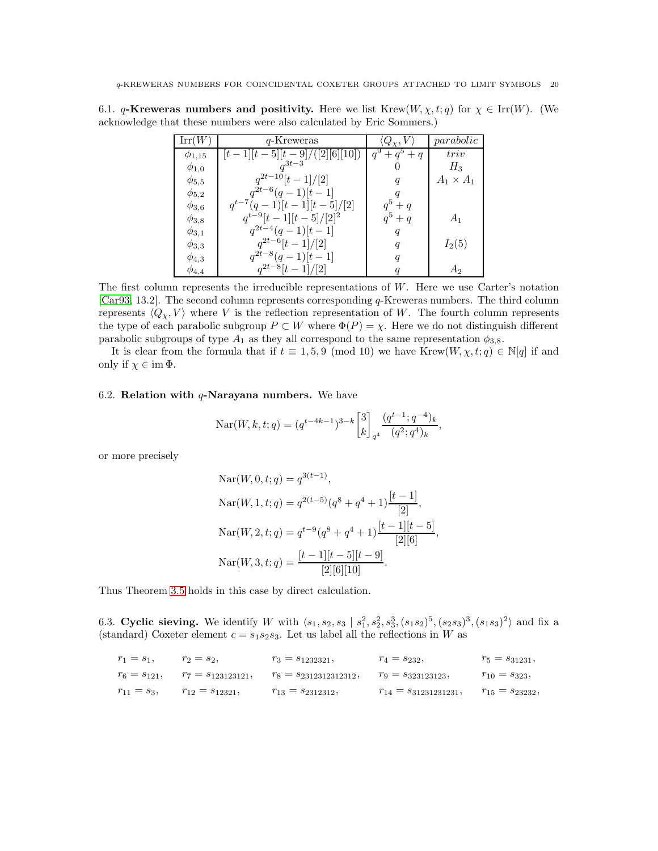|                  | $q$ -Kreweras                  | $Q_{\gamma}, V$     | parabolic        |
|------------------|--------------------------------|---------------------|------------------|
| $\varphi_{1,15}$ | $[t-1][t-5][t-9]/([2][6][10])$ | $q^{9} + q^{5} + q$ | triv             |
| $\phi_{1,0}$     | $a^{3t-3}$                     |                     | $H_3$            |
| $\phi_{5,5}$     | $q^{2t-10}[t-1]/[2]$           | q                   | $A_1 \times A_1$ |
| $\phi_{5,2}$     | $q^{2t-6}(q-1)[t-1]$           |                     |                  |
| $\phi_{3,6}$     | $q^{t-7}(q-1)[t-1][t-5]/[2]$   | $q^5+q$             |                  |
| $\phi_{3,8}$     | $q^{t-9}[t-1][t-5]/[2]^2$      | $q^5+q$             | $A_1$            |
| $\phi_{3,1}$     | $q^{2t-4}(q-1)[t-1]$           | q                   |                  |
| $\phi_{3,3}$     | $q^{2t-6}[t-1]/[2]$            | $\boldsymbol{q}$    | $I_2(5)$         |
| $\phi_{4,3}$     | $q^{2t-8}(q-1)[t-1]$           | q                   |                  |
| $\phi_{4,4}$     | $q^{2t-8}[t-1]/[2]$            |                     | А٥               |

6.1. q-Kreweras numbers and positivity. Here we list Krew $(W, \chi, t; q)$  for  $\chi \in \text{Irr}(W)$ . (We acknowledge that these numbers were also calculated by Eric Sommers.)

The first column represents the irreducible representations of  $W$ . Here we use Carter's notation [\[Car93,](#page-24-13) 13.2]. The second column represents corresponding q-Kreweras numbers. The third column represents  $\langle Q_{\chi}, V \rangle$  where V is the reflection representation of W. The fourth column represents the type of each parabolic subgroup  $P \subset W$  where  $\Phi(P) = \chi$ . Here we do not distinguish different parabolic subgroups of type  $A_1$  as they all correspond to the same representation  $\phi_{3,8}$ .

It is clear from the formula that if  $t \equiv 1, 5, 9 \pmod{10}$  we have Krew $(W, \chi, t; q) \in \mathbb{N}[q]$  if and only if  $\chi \in \text{im } \Phi$ .

# 6.2. Relation with  $q$ -Narayana numbers. We have

$$
\operatorname{Nar}(W, k, t; q) = (q^{t-4k-1})^{3-k} \begin{bmatrix} 3 \\ k \end{bmatrix}_{q^4} \frac{(q^{t-1}; q^{-4})_k}{(q^2; q^4)_k},
$$

or more precisely

$$
Nar(W, 0, t; q) = q^{3(t-1)},
$$
  
\n
$$
Nar(W, 1, t; q) = q^{2(t-5)}(q^8 + q^4 + 1)\frac{[t-1]}{[2]},
$$
  
\n
$$
Nar(W, 2, t; q) = q^{t-9}(q^8 + q^4 + 1)\frac{[t-1][t-5]}{[2][6]},
$$
  
\n
$$
Nar(W, 3, t; q) = \frac{[t-1][t-5][t-9]}{[2][6][10]}.
$$

Thus Theorem [3.5](#page-7-1) holds in this case by direct calculation.

6.3. Cyclic sieving. We identify W with  $\langle s_1, s_2, s_3 | s_1^2, s_2^2, s_3^3, (s_1s_2)^5, (s_2s_3)^3, (s_1s_3)^2 \rangle$  and fix a (standard) Coxeter element  $c = s_1 s_2 s_3$ . Let us label all the reflections in W as

| $r_1 = s_1$ ,   | $r_2 = s_2,$          | $r_3 = s_{1232321}$       | $r_4 = s_{232}$            | $r_5 = s_{31231}$ ,  |
|-----------------|-----------------------|---------------------------|----------------------------|----------------------|
| $r_6 = s_{121}$ | $r_7 = s_{123123121}$ | $r_8 = s_{2312312312312}$ | $r_9 = s_{323123123}$      | $r_{10} = s_{323}$   |
| $r_{11} = s_3,$ | $r_{12} = s_{12321}$  | $r_{13} = s_{2312312},$   | $r_{14} = s_{31231231231}$ | $r_{15} = s_{23232}$ |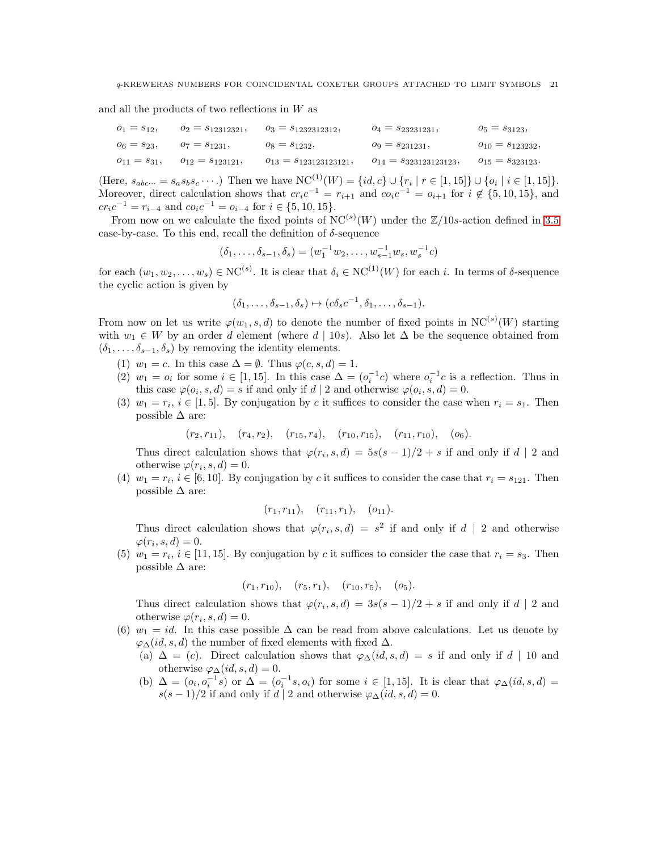and all the products of two reflections in W as

| $0_1 = s_{12}$    | $o_2 = s_{12312321}$   | $o_3 = s_{1232312312}$          | $0_4 = s_{23231231}$        | $o_5 = s_{3123},$       |
|-------------------|------------------------|---------------------------------|-----------------------------|-------------------------|
| $o_6 = s_{23}$    | $v_7 = s_{1231}$ ,     | $o_8 = s_{1232}$                | $o_9 = s_{231231}$          | $o_{10} = s_{123232},$  |
| $o_{11} = s_{31}$ | $o_{12} = s_{123121},$ | $\rho_{13} = s_{123123123121},$ | $o_{14} = s_{323123123123}$ | $v_{15} = s_{323123}$ . |

(Here,  $s_{abc\cdots} = s_a s_b s_c \cdots$ .) Then we have  $NC^{(1)}(W) = \{id, c\} \cup \{r_i \mid r \in [1, 15]\} \cup \{o_i \mid i \in [1, 15]\}.$ Moreover, direct calculation shows that  $cr_ic^{-1} = r_{i+1}$  and  $co_ic^{-1} = o_{i+1}$  for  $i \notin \{5, 10, 15\}$ , and  $cr_ic^{-1} = r_{i-4}$  and  $co_ic^{-1} = o_{i-4}$  for  $i \in \{5, 10, 15\}.$ 

From now on we calculate the fixed points of  $NC^{(s)}(W)$  under the  $\mathbb{Z}/10s$ -action defined in [3.5](#page-7-2) case-by-case. To this end, recall the definition of  $\delta$ -sequence

$$
(\delta_1, \ldots, \delta_{s-1}, \delta_s) = (w_1^{-1} w_2, \ldots, w_{s-1}^{-1} w_s, w_s^{-1} c)
$$

for each  $(w_1, w_2, \ldots, w_s) \in NC^{(s)}$ . It is clear that  $\delta_i \in NC^{(1)}(W)$  for each i. In terms of  $\delta$ -sequence the cyclic action is given by

$$
(\delta_1,\ldots,\delta_{s-1},\delta_s)\mapsto(c\delta_sc^{-1},\delta_1,\ldots,\delta_{s-1}).
$$

From now on let us write  $\varphi(w_1, s, d)$  to denote the number of fixed points in  $NC^{(s)}(W)$  starting with  $w_1 \in W$  by an order d element (where  $d | 10s$ ). Also let  $\Delta$  be the sequence obtained from  $(\delta_1, \ldots, \delta_{s-1}, \delta_s)$  by removing the identity elements.

- (1)  $w_1 = c$ . In this case  $\Delta = \emptyset$ . Thus  $\varphi(c, s, d) = 1$ .
- (2)  $w_1 = o_i$  for some  $i \in [1, 15]$ . In this case  $\Delta = (o_i^{-1}c)$  where  $o_i^{-1}c$  is a reflection. Thus in this case  $\varphi$ ( $o_i$ , s, d) = s if and only if d | 2 and otherwise  $\varphi$ ( $o_i$ , s, d) = 0.
- (3)  $w_1 = r_i$ ,  $i \in [1, 5]$ . By conjugation by c it suffices to consider the case when  $r_i = s_1$ . Then possible  $\Delta$  are:

 $(r_2, r_{11}), (r_4, r_2), (r_{15}, r_4), (r_{10}, r_{15}), (r_{11}, r_{10}), (o_6).$ 

Thus direct calculation shows that  $\varphi(r_i, s, d) = 5s(s-1)/2 + s$  if and only if d | 2 and otherwise  $\varphi(r_i, s, d) = 0$ .

(4)  $w_1 = r_i$ ,  $i \in [6, 10]$ . By conjugation by c it suffices to consider the case that  $r_i = s_{121}$ . Then possible  $\Delta$  are:

$$
(r_1, r_{11}), (r_{11}, r_1), (o_{11}).
$$

Thus direct calculation shows that  $\varphi(r_i, s, d) = s^2$  if and only if  $d | 2$  and otherwise  $\varphi(r_i, s, d) = 0.$ 

(5)  $w_1 = r_i$ ,  $i \in [11, 15]$ . By conjugation by c it suffices to consider the case that  $r_i = s_3$ . Then possible  $\Delta$  are:

$$
(r_1, r_{10}), (r_5, r_1), (r_{10}, r_5), (o_5).
$$

Thus direct calculation shows that  $\varphi(r_i, s, d) = 3s(s - 1)/2 + s$  if and only if d | 2 and otherwise  $\varphi(r_i, s, d) = 0$ .

- (6)  $w_1 = id$ . In this case possible  $\Delta$  can be read from above calculations. Let us denote by  $\varphi_{\Delta}(id, s, d)$  the number of fixed elements with fixed  $\Delta$ .
	- (a)  $\Delta = (c)$ . Direct calculation shows that  $\varphi_{\Delta}(id, s, d) = s$  if and only if d | 10 and otherwise  $\varphi_{\Delta}(id, s, d) = 0$ .
	- (b)  $\Delta = (o_i, o_i^{-1}s)$  or  $\Delta = (o_i^{-1}s, o_i)$  for some  $i \in [1, 15]$ . It is clear that  $\varphi_{\Delta}(id, s, d) =$  $s(s-1)/2$  if and only if d | 2 and otherwise  $\varphi_{\Delta}(id, s, d) = 0$ .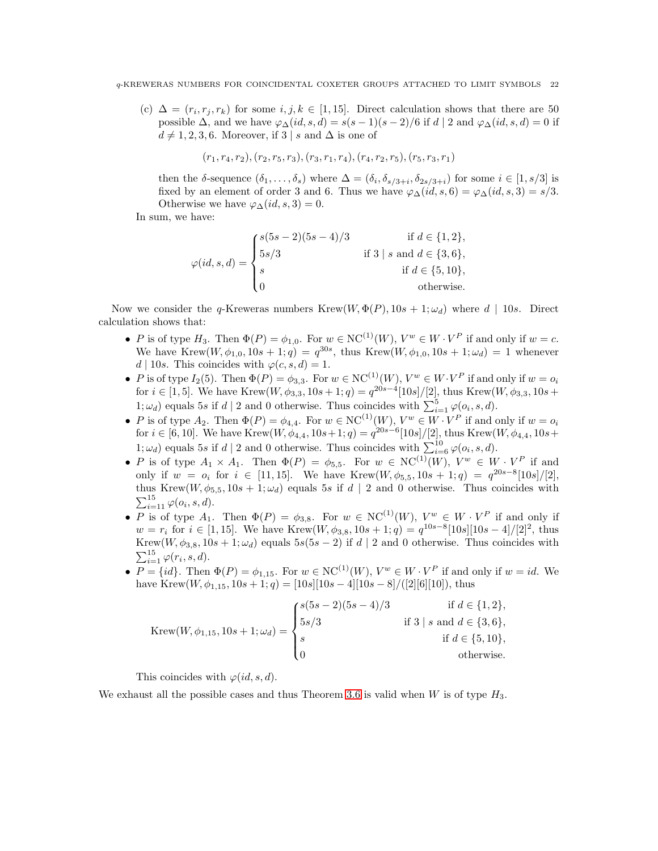(c)  $\Delta = (r_i, r_j, r_k)$  for some  $i, j, k \in [1, 15]$ . Direct calculation shows that there are 50 possible  $\Delta$ , and we have  $\varphi_{\Delta}(id, s, d) = s(s-1)(s-2)/6$  if  $d \mid 2$  and  $\varphi_{\Delta}(id, s, d) = 0$  if  $d \neq 1, 2, 3, 6$ . Moreover, if 3 | s and  $\Delta$  is one of

$$
(r_1, r_4, r_2), (r_2, r_5, r_3), (r_3, r_1, r_4), (r_4, r_2, r_5), (r_5, r_3, r_1)
$$

then the  $\delta$ -sequence  $(\delta_1,\ldots,\delta_s)$  where  $\Delta = (\delta_i,\delta_{s/3+i},\delta_{2s/3+i})$  for some  $i \in [1,s/3]$  is fixed by an element of order 3 and 6. Thus we have  $\varphi_{\Delta}(id, s, 6) = \varphi_{\Delta}(id, s, 3) = s/3$ . Otherwise we have  $\varphi_{\Delta}(id, s, 3) = 0$ .

In sum, we have:

$$
\varphi(id, s, d) = \begin{cases} s(5s - 2)(5s - 4)/3 & \text{if } d \in \{1, 2\}, \\ 5s/3 & \text{if } 3 \mid s \text{ and } d \in \{3, 6\}, \\ s & \text{if } d \in \{5, 10\}, \\ 0 & \text{otherwise.} \end{cases}
$$

Now we consider the q-Kreweras numbers Krew $(W, \Phi(P), 10s + 1; \omega_d)$  where  $d | 10s$ . Direct calculation shows that:

- P is of type  $H_3$ . Then  $\Phi(P) = \phi_{1,0}$ . For  $w \in NC^{(1)}(W)$ ,  $V^w \in W \cdot V^P$  if and only if  $w = c$ . We have Krew $(W, \phi_{1,0}, 10s + 1; q) = q^{30s}$ , thus Krew $(W, \phi_{1,0}, 10s + 1; \omega_d) = 1$  whenever  $d | 10s$ . This coincides with  $\varphi(c, s, d) = 1$ .
- P is of type  $I_2(5)$ . Then  $\Phi(P) = \phi_{3,3}$ . For  $w \in NC^{(1)}(W)$ ,  $V^w \in W \cdot V^P$  if and only if  $w = o_i$ for  $i \in [1, 5]$ . We have Krew $(W, \phi_{3,3}, 10s + 1; q) = q^{20s-4} [10s]/[2]$ , thus Krew $(W, \phi_{3,3}, 10s +$  $1; \omega_d$ ) equals 5s if  $d \mid 2$  and 0 otherwise. Thus coincides with  $\sum_{i=1}^{5} \varphi(o_i, s, d)$ .
- P is of type  $A_2$ . Then  $\Phi(P) = \phi_{4,4}$ . For  $w \in NC^{(1)}(W)$ ,  $V^w \in W \cdot V^P$  if and only if  $w = o_i$ for  $i \in [6, 10]$ . We have Krew $(W, \phi_{4,4}, 10s+1; q) = q^{20s-6} [10s]/[2]$ , thus Krew $(W, \phi_{4,4}, 10s+1; q)$ 1;  $\omega_d$ ) equals 5s if d | 2 and 0 otherwise. Thus coincides with  $\sum_{i=6}^{10} \varphi(o_i, s, d)$ .
- P is of type  $A_1 \times A_1$ . Then  $\Phi(P) = \phi_{5,5}$ . For  $w \in NC^{(1)}(W)$ ,  $V^w \in W \cdot V^P$  if and only if  $w = o_i$  for  $i \in [11, 15]$ . We have Krew $(W, \phi_{5,5}, 10s + 1; q) = q^{20s - 8}[10s]/[2]$ , thus Krew $(W, \phi_{5,5}, 10s + 1; \omega_d)$  equals 5s if  $d | 2$  and 0 otherwise. Thus coincides with  $\sum_{i=11}^{15} \varphi(o_i, s, d).$
- P is of type  $A_1$ . Then  $\Phi(P) = \phi_{3,8}$ . For  $w \in NC^{(1)}(W)$ ,  $V^w \in W \cdot V^P$  if and only if  $w = r_i$  for  $i \in [1, 15]$ . We have Krew $(W, \phi_{3,8}, 10s + 1; q) = q^{10s - 8} [10s][10s - 4]/[2]^2$ , thus Krew $(W, \phi_{3,8}, 10s + 1; \omega_d)$  equals  $5s(5s - 2)$  if  $d | 2$  and 0 otherwise. Thus coincides with  $\sum_{i=1}^{15} \varphi(r_i, s, d).$
- $P = \{id\}$ . Then  $\Phi(P) = \phi_{1,15}$ . For  $w \in NC^{(1)}(W)$ ,  $V^w \in W \cdot V^P$  if and only if  $w = id$ . We have Krew $(W, \phi_{1,15}, 10s + 1; q) = [10s][10s - 4][10s - 8]/([2|[6][10]),$  thus

$$
\text{Krew}(W, \phi_{1,15}, 10s + 1; \omega_d) = \begin{cases} s(5s - 2)(5s - 4)/3 & \text{if } d \in \{1, 2\}, \\ 5s/3 & \text{if } 3 \mid s \text{ and } d \in \{3, 6\}, \\ s & \text{if } d \in \{5, 10\}, \\ 0 & \text{otherwise.} \end{cases}
$$

This coincides with  $\varphi(id, s, d)$ .

We exhaust all the possible cases and thus Theorem [3.6](#page-8-1) is valid when W is of type  $H_3$ .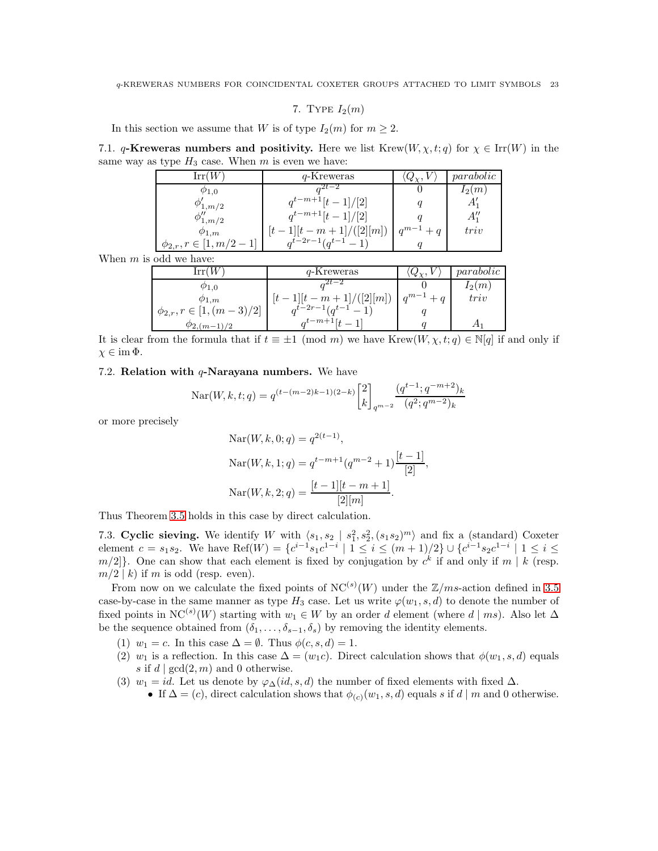7. TYPE  $I_2(m)$ 

<span id="page-22-0"></span>In this section we assume that W is of type  $I_2(m)$  for  $m \geq 2$ .

7.1. q-Kreweras numbers and positivity. Here we list Krew $(W, \chi, t; q)$  for  $\chi \in \text{Irr}(W)$  in the same way as type  $H_3$  case. When m is even we have:

| Irr(W)                                   | q-Kreweras            | $Q_{\gamma}$ | parabolic |
|------------------------------------------|-----------------------|--------------|-----------|
| $\varphi_{1,0}$                          | $2t - 2$              |              | $I_2(m)$  |
| Ф<br>$2^{1}, m/2$                        | $q^{t-m+1}[t-1]/[2]$  |              | A.        |
| $\phi''_{1,m/2}$                         | $q^{t-m+1}[t-1]/[2]$  |              | $A_1''$   |
| $\varphi_{1,m}$                          | $1[(t-m+1]/([2][m])]$ | $q^{m-1}+q$  | triv      |
| $ 1, m/2 \rangle$<br>$\phi_{2,r}, r \in$ | $a^{t-2r-1}(a^{t-1})$ |              |           |

When  $m$  is odd we have:

| $\operatorname{Irr}(W$           | q-Kreweras              | $Q_{\chi}$ , . | parabolic |
|----------------------------------|-------------------------|----------------|-----------|
| $\varphi_{1,0}$                  |                         |                | $I_2(m)$  |
| $\varphi_{1,m}$                  | $[t-1][t-m+1]/([2][m])$ | $q^{m-1}+q$    | triv      |
| $\phi_{2,r}, r \in [1, (m-3)/2]$ | $a^{t-2r-1}(a^{t-1}-1)$ |                |           |
| $\varphi_{2,(m-1)/2}$            | $\alpha^{t-m+1}$ [+     |                |           |

It is clear from the formula that if  $t \equiv \pm 1 \pmod{m}$  we have Krew $(W, \chi, t; q) \in \mathbb{N}[q]$  if and only if  $\chi \in \text{im } \Phi.$ 

### 7.2. Relation with  $q$ -Narayana numbers. We have

$$
Nar(W, k, t; q) = q^{(t-(m-2)k-1)(2-k)} \begin{bmatrix} 2 \\ k \end{bmatrix}_{q^{m-2}} \frac{(q^{t-1}; q^{-m+2})_k}{(q^2; q^{m-2})_k}
$$

or more precisely

$$
Nar(W, k, 0; q) = q^{2(t-1)},
$$
  
\n
$$
Nar(W, k, 1; q) = q^{t-m+1}(q^{m-2} + 1)\frac{[t-1]}{[2]},
$$
  
\n
$$
Nar(W, k, 2; q) = \frac{[t-1][t-m+1]}{[2][m]}.
$$

Thus Theorem [3.5](#page-7-1) holds in this case by direct calculation.

7.3. Cyclic sieving. We identify W with  $\langle s_1, s_2 | s_1^2, s_2^2, (s_1 s_2)^m \rangle$  and fix a (standard) Coxeter element  $c = s_1 s_2$ . We have  $\text{Ref}(W) = \{c^{i-1} s_1 c^{1-i} \mid 1 \leq i \leq (m+1)/2\} \cup \{c^{i-1} s_2 c^{1-i} \mid 1 \leq i \leq (m+1)/2\}$  $m/2$ . One can show that each element is fixed by conjugation by  $c<sup>k</sup>$  if and only if  $m \mid k$  (resp.  $m/2 \mid k$ ) if m is odd (resp. even).

From now on we calculate the fixed points of  $NC^{(s)}(W)$  under the  $\mathbb{Z}/ms$ -action defined in [3.5](#page-7-2) case-by-case in the same manner as type  $H_3$  case. Let us write  $\varphi(w_1, s, d)$  to denote the number of fixed points in NC<sup>(s)</sup>(W) starting with  $w_1 \in W$  by an order d element (where d | ms). Also let  $\Delta$ be the sequence obtained from  $(\delta_1, \ldots, \delta_{s-1}, \delta_s)$  by removing the identity elements.

- (1)  $w_1 = c$ . In this case  $\Delta = \emptyset$ . Thus  $\phi(c, s, d) = 1$ .
- (2)  $w_1$  is a reflection. In this case  $\Delta = (w_1c)$ . Direct calculation shows that  $\phi(w_1, s, d)$  equals s if  $d | gcd(2, m)$  and 0 otherwise.
- (3)  $w_1 = id$ . Let us denote by  $\varphi_{\Delta}(id, s, d)$  the number of fixed elements with fixed  $\Delta$ .
	- If  $\Delta = (c)$ , direct calculation shows that  $\phi_{(c)}(w_1, s, d)$  equals s if  $d | m$  and 0 otherwise.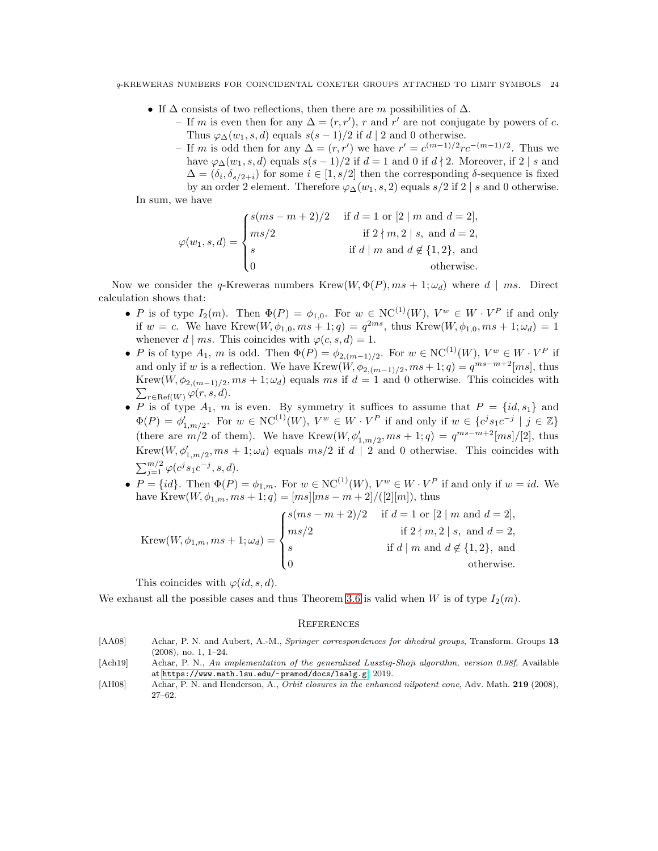- If  $\Delta$  consists of two reflections, then there are m possibilities of  $\Delta$ .
	- If *m* is even then for any  $\Delta = (r, r')$ , *r* and *r'* are not conjugate by powers of *c*. Thus  $\varphi_{\Delta}(w_1, s, d)$  equals  $s(s-1)/2$  if  $d \mid 2$  and 0 otherwise.
	- If *m* is odd then for any  $\Delta = (r, r')$  we have  $r' = c^{(m-1)/2} rc^{-(m-1)/2}$ . Thus we have  $\varphi_{\Delta}(w_1, s, d)$  equals  $s(s-1)/2$  if  $d=1$  and 0 if  $d \nmid 2$ . Moreover, if 2 | s and  $\Delta = (\delta_i, \delta_{s/2+i})$  for some  $i \in [1, s/2]$  then the corresponding  $\delta$ -sequence is fixed by an order 2 element. Therefore  $\varphi_{\Delta}(w_1, s, 2)$  equals  $s/2$  if 2 | s and 0 otherwise.

In sum, we have

$$
\varphi(w_1, s, d) = \begin{cases} s(ms - m + 2)/2 & \text{if } d = 1 \text{ or } [2 \mid m \text{ and } d = 2], \\ ms/2 & \text{if } 2 \nmid m, 2 \mid s, \text{ and } d = 2, \\ s & \text{if } d \mid m \text{ and } d \notin \{1, 2\}, \text{ and} \\ 0 & \text{otherwise.} \end{cases}
$$

Now we consider the q-Kreweras numbers Krew $(W, \Phi(P), ms + 1; \omega_d)$  where  $d | ms$ . Direct calculation shows that:

- P is of type  $I_2(m)$ . Then  $\Phi(P) = \phi_{1,0}$ . For  $w \in NC^{(1)}(W)$ ,  $V^w \in W \cdot V^P$  if and only if  $w = c$ . We have Krew $(W, \phi_{1,0}, ms + 1; q) = q^{2ms}$ , thus Krew $(W, \phi_{1,0}, ms + 1; \omega_d) = 1$ whenever  $d | ms$ . This coincides with  $\varphi(c, s, d) = 1$ .
- P is of type  $A_1$ , m is odd. Then  $\Phi(P) = \phi_{2,(m-1)/2}$ . For  $w \in NC^{(1)}(W)$ ,  $V^w \in W \cdot V^P$  if and only if w is a reflection. We have  $Krew(W, \phi_{2,(m-1)/2}, ms+1; q) = q^{ms-m+2}[ms]$ , thus Krew $(W, \phi_{2,(m-1)/2}, ms + 1; \omega_d)$  equals ms if  $d = 1$  and 0 otherwise. This coincides with  $\sum_{r \in \text{Ref}(W)} \varphi(r, s, d).$
- P is of type  $A_1$ , m is even. By symmetry it suffices to assume that  $P = \{id, s_1\}$  and  $\Phi(P) = \phi'_{1,m/2}$ . For  $w \in NC^{(1)}(W)$ ,  $V^w \in W \cdot V^P$  if and only if  $w \in \{c^j s_1 c^{-j} \mid j \in \mathbb{Z}\}\$ (there are  $m/2$  of them). We have Krew $(W, \phi'_{1,m/2}, ms + 1; q) = q^{ms-m+2} [ms]/[2]$ , thus Krew $(W, \phi'_{1,m/2}, ms + 1; \omega_d)$  equals  $ms/2$  if  $d | 2$  and 0 otherwise. This coincides with  $\sum_{j=1}^{m/2} \varphi(c^j s_1 c^{-j}, s, d).$
- $P = \{id\}$ . Then  $\Phi(P) = \phi_{1,m}$ . For  $w \in NC^{(1)}(W)$ ,  $V^w \in W \cdot V^P$  if and only if  $w = id$ . We have Krew $(W, \phi_{1,m}, ms + 1; q) = [ms][ms - m + 2]/([2][m])$ , thus

$$
Krew(W, \phi_{1,m}, ms + 1; \omega_d) = \begin{cases} s(ms - m + 2)/2 & \text{if } d = 1 \text{ or } [2 \mid m \text{ and } d = 2], \\ ms/2 & \text{if } 2 \nmid m, 2 \mid s, \text{ and } d = 2, \\ s & \text{if } d \mid m \text{ and } d \notin \{1, 2\}, \text{ and} \\ 0 & \text{otherwise.} \end{cases}
$$

This coincides with  $\varphi(id, s, d)$ .

We exhaust all the possible cases and thus Theorem [3.6](#page-8-1) is valid when W is of type  $I_2(m)$ .

#### <span id="page-23-0"></span>**REFERENCES**

- <span id="page-23-3"></span>[AA08] Achar, P. N. and Aubert, A.-M., *Springer correspondences for dihedral groups*, Transform. Groups 13 (2008), no. 1, 1–24.
- <span id="page-23-1"></span>[Ach19] Achar, P. N., *An implementation of the generalized Lusztig-Shoji algorithm, version 0.98f*, Available at <https://www.math.lsu.edu/~pramod/docs/lsalg.g>, 2019.
- <span id="page-23-2"></span>[AH08] Achar, P. N. and Henderson, A., *Orbit closures in the enhanced nilpotent cone*, Adv. Math. 219 (2008), 27–62.